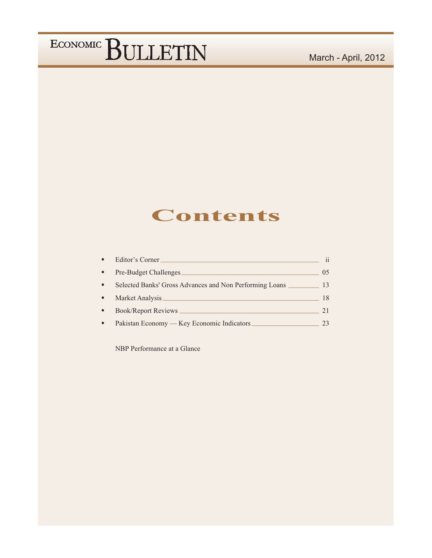#### March - April, 2012

#### **Contents**

| п              | Editor's Corner                                         | $\mathbf{ii}$ |
|----------------|---------------------------------------------------------|---------------|
| ٠              | Pre-Budget Challenges                                   | 05            |
| $\blacksquare$ | Selected Banks' Gross Advances and Non Performing Loans | 13            |
| ٠              | Market Analysis                                         | 18            |
| ٠              | <b>Book/Report Reviews</b>                              | 21            |
|                | Pakistan Economy — Key Economic Indicators              | 23            |

NBP Performance at a Glance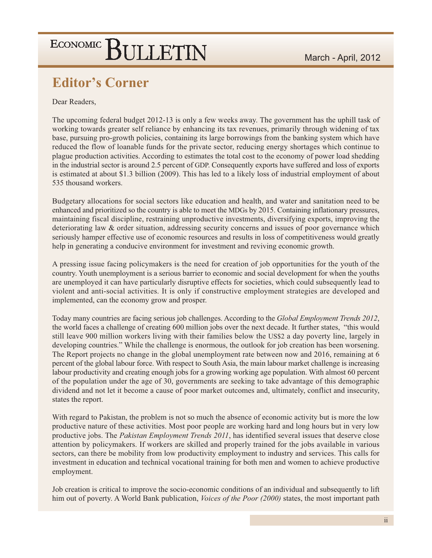#### **Editor's Corner**

Dear Readers,

The upcoming federal budget 2012-13 is only a few weeks away. The government has the uphill task of working towards greater self reliance by enhancing its tax revenues, primarily through widening of tax base, pursuing pro-growth policies, containing its large borrowings from the banking system which have reduced the flow of loanable funds for the private sector, reducing energy shortages which continue to plague production activities. According to estimates the total cost to the economy of power load shedding in the industrial sector is around 2.5 percent of GDP. Consequently exports have suffered and loss of exports is estimated at about \$1.3 billion (2009). This has led to a likely loss of industrial employment of about 535 thousand workers.

Budgetary allocations for social sectors like education and health, and water and sanitation need to be enhanced and prioritized so the country is able to meet the MDGs by 2015. Containing inflationary pressures, maintaining fiscal discipline, restraining unproductive investments, diversifying exports, improving the deteriorating law & order situation, addressing security concerns and issues of poor governance which seriously hamper effective use of economic resources and results in loss of competitiveness would greatly help in generating a conducive environment for investment and reviving economic growth.

A pressing issue facing policymakers is the need for creation of job opportunities for the youth of the country. Youth unemployment is a serious barrier to economic and social development for when the youths are unemployed it can have particularly disruptive effects for societies, which could subsequently lead to violent and anti-social activities. It is only if constructive employment strategies are developed and implemented, can the economy grow and prosper.

Today many countries are facing serious job challenges. According to the *Global Employment Trends 2012*, the world faces a challenge of creating 600 million jobs over the next decade. It further states, "this would still leave 900 million workers living with their families below the US\$2 a day poverty line, largely in developing countries." While the challenge is enormous, the outlook for job creation has been worsening. The Report projects no change in the global unemployment rate between now and 2016, remaining at 6 percent of the global labour force. With respect to South Asia, the main labour market challenge is increasing labour productivity and creating enough jobs for a growing working age population. With almost 60 percent of the population under the age of 30, governments are seeking to take advantage of this demographic dividend and not let it become a cause of poor market outcomes and, ultimately, conflict and insecurity, states the report.

With regard to Pakistan, the problem is not so much the absence of economic activity but is more the low productive nature of these activities. Most poor people are working hard and long hours but in very low productive jobs. The Pakistan Employment Trends 2011, has identified several issues that deserve close attention by policymakers. If workers are skilled and properly trained for the jobs available in various sectors, can there be mobility from low productivity employment to industry and services. This calls for investment in education and technical vocational training for both men and women to achieve productive employment.

Job creation is critical to improve the socio-economic conditions of an individual and subsequently to lift him out of poverty. A World Bank publication, *Voices of the Poor (2000)* states, the most important path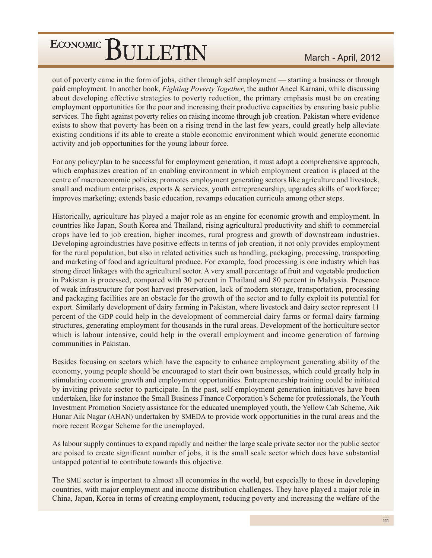out of poverty came in the form of jobs, either through self employment — starting a business or through paid employment. In another book, Fighting Poverty Together, the author Aneel Karnani, while discussing about developing effective strategies to poverty reduction, the primary emphasis must be on creating employment opportunities for the poor and increasing their productive capacities by ensuring basic public services. The fight against poverty relies on raising income through job creation. Pakistan where evidence exists to show that poverty has been on a rising trend in the last few years, could greatly help alleviate existing conditions if its able to create a stable economic environment which would generate economic activity and job opportunities for the young labour force.

For any policy/plan to be successful for employment generation, it must adopt a comprehensive approach, which emphasizes creation of an enabling environment in which employment creation is placed at the centre of macroeconomic policies; promotes employment generating sectors like agriculture and livestock, small and medium enterprises, exports  $\&$  services, youth entrepreneurship; upgrades skills of workforce; improves marketing; extends basic education, revamps education curricula among other steps.

Historically, agriculture has played a major role as an engine for economic growth and employment. In countries like Japan, South Korea and Thailand, rising agricultural productivity and shift to commercial crops have led to job creation, higher incomes, rural progress and growth of downstream industries. Developing agroindustries have positive effects in terms of job creation, it not only provides employment for the rural population, but also in related activities such as handling, packaging, processing, transporting and marketing of food and agricultural produce. For example, food processing is one industry which has strong direct linkages with the agricultural sector. A very small percentage of fruit and vegetable production in Pakistan is processed, compared with 30 percent in Thailand and 80 percent in Malaysia. Presence of weak infrastructure for post harvest preservation, lack of modern storage, transportation, processing and packaging facilities are an obstacle for the growth of the sector and to fully exploit its potential for export. Similarly development of dairy farming in Pakistan, where livestock and dairy sector represent 11 percent of the GDP could help in the development of commercial dairy farms or formal dairy farming structures, generating employment for thousands in the rural areas. Development of the horticulture sector which is labour intensive, could help in the overall employment and income generation of farming communities in Pakistan.

Besides focusing on sectors which have the capacity to enhance employment generating ability of the economy, young people should be encouraged to start their own businesses, which could greatly help in stimulating economic growth and employment opportunities. Entrepreneurship training could be initiated by inviting private sector to participate. In the past, self employment generation initiatives have been undertaken, like for instance the Small Business Finance Corporation's Scheme for professionals, the Youth Investment Promotion Society assistance for the educated unemployed youth, the Yellow Cab Scheme, Aik Hunar Aik Nagar (AHAN) undertaken by SMEDA to provide work opportunities in the rural areas and the more recent Rozgar Scheme for the unemployed.

As labour supply continues to expand rapidly and neither the large scale private sector nor the public sector are poised to create significant number of jobs, it is the small scale sector which does have substantial untapped potential to contribute towards this objective.

The SME sector is important to almost all economies in the world, but especially to those in developing countries, with major employment and income distribution challenges. They have played a major role in China, Japan, Korea in terms of creating employment, reducing poverty and increasing the welfare of the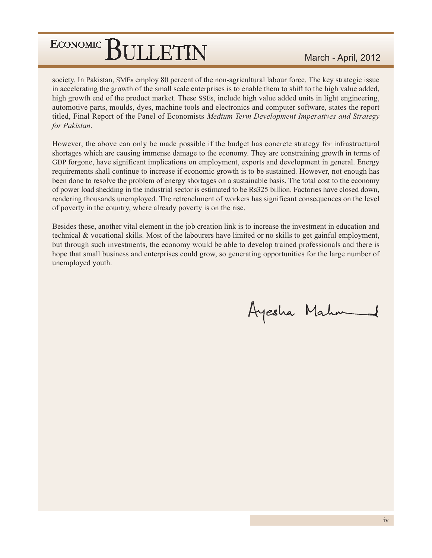society. In Pakistan, SMEs employ 80 percent of the non-agricultural labour force. The key strategic issue in accelerating the growth of the small scale enterprises is to enable them to shift to the high value added, high growth end of the product market. These SSEs, include high value added units in light engineering, automotive parts, moulds, dyes, machine tools and electronics and computer software, states the report titled, Final Report of the Panel of Economists Medium Term Development Imperatives and Strategy for Pakistan.

However, the above can only be made possible if the budget has concrete strategy for infrastructural shortages which are causing immense damage to the economy. They are constraining growth in terms of GDP forgone, have significant implications on employment, exports and development in general. Energy requirements shall continue to increase if economic growth is to be sustained. However, not enough has been done to resolve the problem of energy shortages on a sustainable basis. The total cost to the economy of power load shedding in the industrial sector is estimated to be Rs325 billion. Factories have closed down, rendering thousands unemployed. The retrenchment of workers has significant consequences on the level of poverty in the country, where already poverty is on the rise.

Besides these, another vital element in the job creation link is to increase the investment in education and technical & vocational skills. Most of the labourers have limited or no skills to get gainful employment, but through such investments, the economy would be able to develop trained professionals and there is hope that small business and enterprises could grow, so generating opportunities for the large number of unemployed youth.

Ayesha Mahm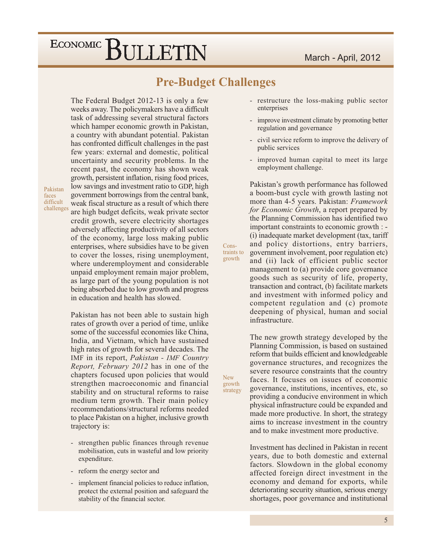#### **Pre-Budget Challenges**

Cons-

growth

**New** 

growth

strategy

The Federal Budget 2012-13 is only a few weeks away. The policymakers have a difficult task of addressing several structural factors which hamper economic growth in Pakistan, a country with abundant potential. Pakistan has confronted difficult challenges in the past few years: external and domestic, political uncertainty and security problems. In the recent past, the economy has shown weak growth, persistent inflation, rising food prices, low savings and investment ratio to GDP, high government borrowings from the central bank, weak fiscal structure as a result of which there are high budget deficits, weak private sector credit growth, severe electricity shortages adversely affecting productivity of all sectors of the economy, large loss making public enterprises, where subsidies have to be given to cover the losses, rising unemployment, where underemployment and considerable unpaid employment remain major problem, as large part of the young population is not being absorbed due to low growth and progress in education and health has slowed.

Pakistan faces difficult challenges

> Pakistan has not been able to sustain high rates of growth over a period of time, unlike some of the successful economies like China, India, and Vietnam, which have sustained high rates of growth for several decades. The IMF in its report, Pakistan - IMF Country Report, February 2012 has in one of the chapters focused upon policies that would strengthen macroeconomic and financial stability and on structural reforms to raise medium term growth. Their main policy recommendations/structural reforms needed to place Pakistan on a higher, inclusive growth trajectory is:

- strengthen public finances through revenue mobilisation, cuts in wasteful and low priority expenditure.
- reform the energy sector and
- implement financial policies to reduce inflation, protect the external position and safeguard the stability of the financial sector.
- restructure the loss-making public sector enterprises
- improve investment climate by promoting better regulation and governance
- civil service reform to improve the delivery of  $\overline{a}$ public services
- improved human capital to meet its large  $\Box$ employment challenge.

Pakistan's growth performance has followed a boom-bust cycle with growth lasting not more than 4-5 years. Pakistan: Framework *for Economic Growth*, a report prepared by the Planning Commission has identified two important constraints to economic growth : -(i) inadequate market development (tax, tariff and policy distortions, entry barriers, government involvement, poor regulation etc) traints to and (ii) lack of efficient public sector management to (a) provide core governance goods such as security of life, property, transaction and contract, (b) facilitate markets and investment with informed policy and competent regulation and (c) promote deepening of physical, human and social infrastructure.

> The new growth strategy developed by the Planning Commission, is based on sustained reform that builds efficient and knowledgeable governance structures, and recognizes the severe resource constraints that the country faces. It focuses on issues of economic governance, institutions, incentives, etc. so providing a conducive environment in which physical infrastructure could be expanded and made more productive. In short, the strategy aims to increase investment in the country and to make investment more productive.

> Investment has declined in Pakistan in recent years, due to both domestic and external factors. Slowdown in the global economy affected foreign direct investment in the economy and demand for exports, while deteriorating security situation, serious energy shortages, poor governance and institutional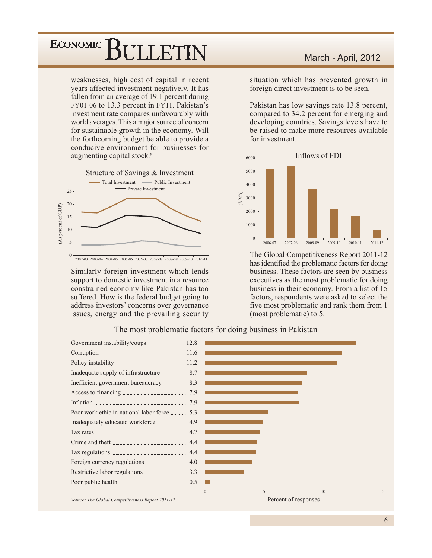weaknesses, high cost of capital in recent years affected investment negatively. It has fallen from an average of 19.1 percent during FY01-06 to 13.3 percent in FY11. Pakistan's investment rate compares unfavourably with world averages. This a major source of concern for sustainable growth in the economy. Will the forthcoming budget be able to provide a conducive environment for businesses for augmenting capital stock?



Similarly foreign investment which lends support to domestic investment in a resource constrained economy like Pakistan has too suffered. How is the federal budget going to address investors' concerns over governance issues, energy and the prevailing security

#### March - April, 2012

situation which has prevented growth in foreign direct investment is to be seen.

Pakistan has low savings rate 13.8 percent, compared to 34.2 percent for emerging and developing countries. Savings levels have to be raised to make more resources available for investment.



The Global Competitiveness Report 2011-12 has identified the problematic factors for doing business. These factors are seen by business executives as the most problematic for doing business in their economy. From a list of 15 factors, respondents were asked to select the five most problematic and rank them from 1 (most problematic) to 5.



#### The most problematic factors for doing business in Pakistan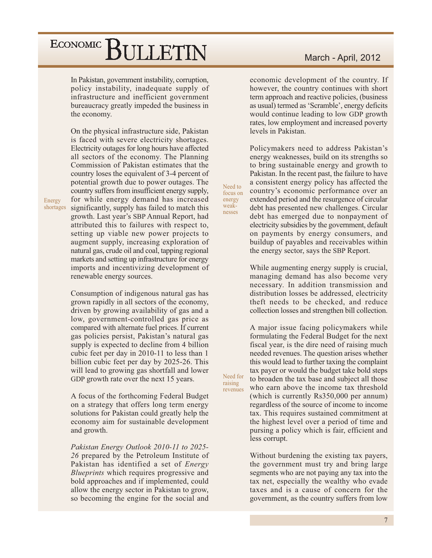In Pakistan, government instability, corruption, policy instability, inadequate supply of infrastructure and inefficient government bureaucracy greatly impeded the business in the economy.

On the physical infrastructure side, Pakistan is faced with severe electricity shortages. Electricity outages for long hours have affected all sectors of the economy. The Planning Commission of Pakistan estimates that the country loses the equivalent of 3-4 percent of potential growth due to power outages. The country suffers from insufficient energy supply. for while energy demand has increased shortages significantly, supply has failed to match this growth. Last year's SBP Annual Report, had attributed this to failures with respect to, setting up viable new power projects to augment supply, increasing exploration of natural gas, crude oil and coal, tapping regional markets and setting up infrastructure for energy imports and incentivizing development of renewable energy sources.

> Consumption of indigenous natural gas has grown rapidly in all sectors of the economy, driven by growing availability of gas and a low, government-controlled gas price as compared with alternate fuel prices. If current gas policies persist, Pakistan's natural gas supply is expected to decline from 4 billion cubic feet per day in 2010-11 to less than 1 billion cubic feet per day by 2025-26. This will lead to growing gas shortfall and lower GDP growth rate over the next 15 years.

> A focus of the forthcoming Federal Budget on a strategy that offers long term energy solutions for Pakistan could greatly help the economy aim for sustainable development and growth.

> Pakistan Energy Outlook 2010-11 to 2025-26 prepared by the Petroleum Institute of Pakistan has identified a set of *Energy* Blueprints which requires progressive and bold approaches and if implemented, could allow the energy sector in Pakistan to grow, so becoming the engine for the social and

#### March - April, 2012

economic development of the country. If however, the country continues with short term approach and reactive policies, (business as usual) termed as 'Scramble', energy deficits would continue leading to low GDP growth rates, low employment and increased poverty levels in Pakistan.

Policymakers need to address Pakistan's energy weaknesses, build on its strengths so to bring sustainable energy and growth to Pakistan. In the recent past, the failure to have a consistent energy policy has affected the country's economic performance over an extended period and the resurgence of circular debt has presented new challenges. Circular debt has emerged due to nonpayment of electricity subsidies by the government, default on payments by energy consumers, and buildup of payables and receivables within the energy sector, says the SBP Report.

Need to

focus on energy

weak-

nesses

Need for

revenues

raising

While augmenting energy supply is crucial, managing demand has also become very necessary. In addition transmission and distribution losses be addressed, electricity theft needs to be checked, and reduce collection losses and strengthen bill collection.

A major issue facing policymakers while formulating the Federal Budget for the next fiscal year, is the dire need of raising much needed revenues. The question arises whether this would lead to further taxing the complaint tax payer or would the budget take bold steps to broaden the tax base and subject all those who earn above the income tax threshold (which is currently Rs350,000 per annum) regardless of the source of income to income tax. This requires sustained commitment at the highest level over a period of time and pursing a policy which is fair, efficient and less corrupt.

Without burdening the existing tax payers, the government must try and bring large segments who are not paying any tax into the tax net, especially the wealthy who evade taxes and is a cause of concern for the government, as the country suffers from low

Energy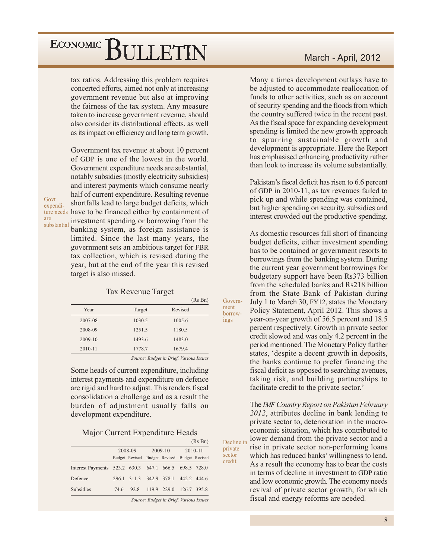tax ratios. Addressing this problem requires concerted efforts, aimed not only at increasing government revenue but also at improving the fairness of the tax system. Any measure taken to increase government revenue, should also consider its distributional effects, as well as its impact on efficiency and long term growth.

Government tax revenue at about 10 percent of GDP is one of the lowest in the world. Government expenditure needs are substantial, notably subsidies (mostly electricity subsidies) and interest payments which consume nearly half of current expenditure. Resulting revenue shortfalls lead to large budget deficits, which ture needs have to be financed either by containment of investment spending or borrowing from the banking system, as foreign assistance is limited. Since the last many years, the government sets an ambitious target for FBR tax collection, which is revised during the year, but at the end of the year this revised

#### **Tax Revenue Target**

target is also missed.

|             |        | (Rs Bn) |
|-------------|--------|---------|
| Year        | Target | Revised |
| 2007-08     | 1030.5 | 1005.6  |
| 2008-09     | 1251.5 | 1180.5  |
| $2009 - 10$ | 1493.6 | 1483.0  |
| 2010-11     | 1778.7 | 1679.4  |
|             |        |         |

Source: Budget in Brief, Various Issues

Govern-

borrow-

private sector

credit

ment

ings

Some heads of current expenditure, including interest payments and expenditure on defence are rigid and hard to adjust. This renders fiscal consolidation a challenge and as a result the burden of adjustment usually falls on development expenditure.

Major Current Expenditure Heads

|                                                       |      |                         |             |                                        |             | (Rs Bn) |
|-------------------------------------------------------|------|-------------------------|-------------|----------------------------------------|-------------|---------|
|                                                       |      | 2008-09                 |             | 2009-10                                |             | 2010-11 |
|                                                       |      | Budget Revised          |             | Budget Revised Budget Revised          |             |         |
| Interest Payments 523.2 630.3 647.1 666.5 698.5 728.0 |      |                         |             |                                        |             |         |
| Defence                                               |      | 296.1 311.3 342.9 378.1 |             |                                        | 442.2 444.6 |         |
| Subsidies                                             | 74.6 | 92.8                    | 119.9 229.0 |                                        | 126.7 395.8 |         |
|                                                       |      |                         |             | Source: Rudget in Rrief Various Issues |             |         |

March - April, 2012

Many a times development outlays have to be adjusted to accommodate reallocation of funds to other activities, such as on account of security spending and the floods from which the country suffered twice in the recent past. As the fiscal space for expanding development spending is limited the new growth approach to spurring sustainable growth and development is appropriate. Here the Report has emphasised enhancing productivity rather than look to increase its volume substantially.

Pakistan's fiscal deficit has risen to 6.6 percent of GDP in 2010-11, as tax revenues failed to pick up and while spending was contained, but higher spending on security, subsidies and interest crowded out the productive spending.

As domestic resources fall short of financing budget deficits, either investment spending has to be contained or government resorts to borrowings from the banking system. During the current year government borrowings for budgetary support have been Rs373 billion from the scheduled banks and Rs218 billion from the State Bank of Pakistan during July 1 to March 30, FY12, states the Monetary Policy Statement, April 2012. This shows a year-on-year growth of 56.5 percent and 18.5 percent respectively. Growth in private sector credit slowed and was only 4.2 percent in the period mentioned. The Monetary Policy further states, 'despite a decent growth in deposits, the banks continue to prefer financing the fiscal deficit as opposed to searching avenues, taking risk, and building partnerships to facilitate credit to the private sector.'

The IMF Country Report on Pakistan February 2012, attributes decline in bank lending to private sector to, deterioration in the macroeconomic situation, which has contributed to lower demand from the private sector and a Decline in rise in private sector non-performing loans which has reduced banks' willingness to lend. As a result the economy has to bear the costs in terms of decline in investment to GDP ratio and low economic growth. The economy needs revival of private sector growth, for which fiscal and energy reforms are needed.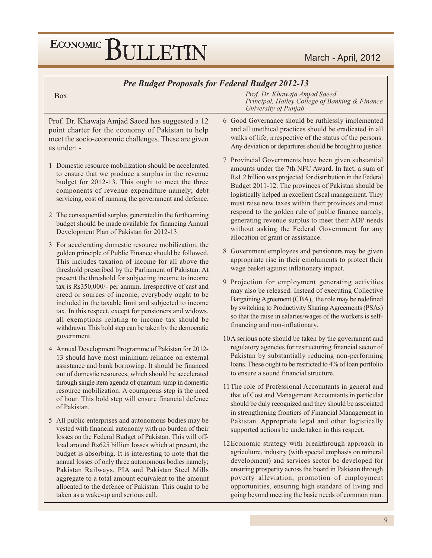## ECONOMIC BULLETIN

#### **Pre Budget Proposals for Federal Budget 2012-13**

#### **Box**

Prof. Dr. Khawaja Amjad Saeed has suggested a 12 point charter for the economy of Pakistan to help meet the socio-economic challenges. These are given as under: -

- 1 Domestic resource mobilization should be accelerated to ensure that we produce a surplus in the revenue budget for 2012-13. This ought to meet the three components of revenue expenditure namely; debt servicing, cost of running the government and defence.
- 2 The consequential surplus generated in the forthcoming budget should be made available for financing Annual Development Plan of Pakistan for 2012-13.
- 3 For accelerating domestic resource mobilization, the golden principle of Public Finance should be followed. This includes taxation of income for all above the threshold prescribed by the Parliament of Pakistan. At present the threshold for subjecting income to income tax is Rs350,000/- per annum. Irrespective of cast and creed or sources of income, everybody ought to be included in the taxable limit and subjected to income tax. In this respect, except for pensioners and widows, all exemptions relating to income tax should be withdrawn. This bold step can be taken by the democratic government.
- 4 Annual Development Programme of Pakistan for 2012-13 should have most minimum reliance on external assistance and bank borrowing. It should be financed out of domestic resources, which should be accelerated through single item agenda of quantum jump in domestic resource mobilization. A courageous step is the need of hour. This bold step will ensure financial defence of Pakistan.
- 5 All public enterprises and autonomous bodies may be vested with financial autonomy with no burden of their losses on the Federal Budget of Pakistan. This will offload around Rs625 billion losses which at present, the budget is absorbing. It is interesting to note that the annual losses of only three autonomous bodies namely; Pakistan Railways, PIA and Pakistan Steel Mills aggregate to a total amount equivalent to the amount allocated to the defence of Pakistan. This ought to be taken as a wake-up and serious call.

Prof. Dr. Khawaja Amjad Saeed Principal, Hailey College of Banking & Finance University of Punjab

- 6 Good Governance should be ruthlessly implemented and all unethical practices should be eradicated in all walks of life, irrespective of the status of the persons. Any deviation or departures should be brought to justice.
- 7 Provincial Governments have been given substantial amounts under the 7th NFC Award. In fact, a sum of Rs1.2 billion was projected for distribution in the Federal Budget 2011-12. The provinces of Pakistan should be logistically helped in excellent fiscal management. They must raise new taxes within their provinces and must respond to the golden rule of public finance namely, generating revenue surplus to meet their ADP needs without asking the Federal Government for any allocation of grant or assistance.
- 8 Government employees and pensioners may be given appropriate rise in their emoluments to protect their wage basket against inflationary impact.
- 9 Projection for employment generating activities may also be released. Instead of executing Collective Bargaining Agreement (CBA), the role may be redefined by switching to Productivity Sharing Agreements (PSAs) so that the raise in salaries/wages of the workers is selffinancing and non-inflationary.
- 10A serious note should be taken by the government and regulatory agencies for restructuring financial sector of Pakistan by substantially reducing non-performing loans. These ought to be restricted to 4% of loan portfolio to ensure a sound financial structure.
- 11 The role of Professional Accountants in general and that of Cost and Management Accountants in particular should be duly recognized and they should be associated in strengthening frontiers of Financial Management in Pakistan. Appropriate legal and other logistically supported actions be undertaken in this respect.
- 12Economic strategy with breakthrough approach in agriculture, industry (with special emphasis on mineral development) and services sector be developed for ensuring prosperity across the board in Pakistan through poverty alleviation, promotion of employment opportunities, ensuring high standard of living and going beyond meeting the basic needs of common man.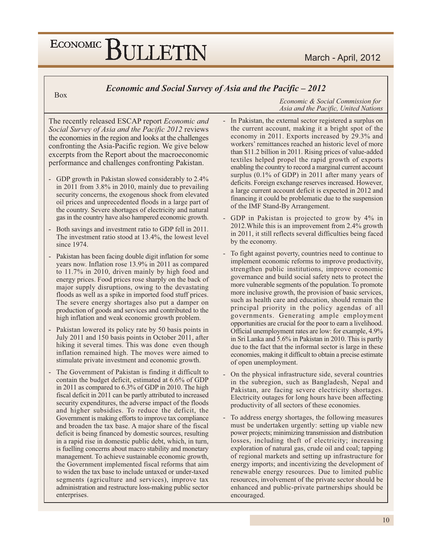## ECONOMIC BULLETIN

**Box** 

Economic and Social Survey of Asia and the Pacific – 2012

Economic & Social Commission for Asia and the Pacific, United Nations

The recently released ESCAP report Economic and Social Survey of Asia and the Pacific 2012 reviews the economies in the region and looks at the challenges confronting the Asia-Pacific region. We give below excerpts from the Report about the macroeconomic performance and challenges confronting Pakistan.

- GDP growth in Pakistan slowed considerably to 2.4% in 2011 from  $3.8\%$  in 2010, mainly due to prevailing security concerns, the exogenous shock from elevated oil prices and unprecedented floods in a large part of the country. Severe shortages of electricity and natural gas in the country have also hampered economic growth.
- Both savings and investment ratio to GDP fell in 2011. The investment ratio stood at 13.4%, the lowest level since 1974.
- Pakistan has been facing double digit inflation for some years now. Inflation rose 13.9% in 2011 as compared to 11.7% in 2010, driven mainly by high food and energy prices. Food prices rose sharply on the back of major supply disruptions, owing to the devastating floods as well as a spike in imported food stuff prices. The severe energy shortages also put a damper on production of goods and services and contributed to the high inflation and weak economic growth problem.
- Pakistan lowered its policy rate by 50 basis points in July 2011 and 150 basis points in October 2011, after hiking it several times. This was done even though inflation remained high. The moves were aimed to stimulate private investment and economic growth.
- The Government of Pakistan is finding it difficult to contain the budget deficit, estimated at 6.6% of GDP in 2011 as compared to 6.3% of GDP in 2010. The high fiscal deficit in 2011 can be partly attributed to increased security expenditures, the adverse impact of the floods and higher subsidies. To reduce the deficit, the Government is making efforts to improve tax compliance and broaden the tax base. A major share of the fiscal deficit is being financed by domestic sources, resulting in a rapid rise in domestic public debt, which, in turn, is fuelling concerns about macro stability and monetary management. To achieve sustainable economic growth, the Government implemented fiscal reforms that aim to widen the tax base to include untaxed or under-taxed segments (agriculture and services), improve tax administration and restructure loss-making public sector enterprises.
- In Pakistan, the external sector registered a surplus on the current account, making it a bright spot of the economy in 2011. Exports increased by 29.3% and workers' remittances reached an historic level of more than \$11.2 billion in 2011. Rising prices of value-added textiles helped propel the rapid growth of exports enabling the country to record a marginal current account surplus  $(0.1\% \text{ of GDP})$  in 2011 after many years of deficits. Foreign exchange reserves increased. However, a large current account deficit is expected in 2012 and financing it could be problematic due to the suspension of the IMF Stand-By Arrangement.
- GDP in Pakistan is projected to grow by 4% in 2012. While this is an improvement from 2.4% growth in 2011, it still reflects several difficulties being faced by the economy.
- To fight against poverty, countries need to continue to implement economic reforms to improve productivity, strengthen public institutions, improve economic governance and build social safety nets to protect the more vulnerable segments of the population. To promote more inclusive growth, the provision of basic services, such as health care and education, should remain the principal priority in the policy agendas of all governments. Generating ample employment opportunities are crucial for the poor to earn a livelihood. Official unemployment rates are low: for example, 4.9% in Sri Lanka and 5.6% in Pakistan in 2010. This is partly due to the fact that the informal sector is large in these economies, making it difficult to obtain a precise estimate of open unemployment.
- On the physical infrastructure side, several countries in the subregion, such as Bangladesh, Nepal and Pakistan, are facing severe electricity shortages. Electricity outages for long hours have been affecting productivity of all sectors of these economies.
- To address energy shortages, the following measures must be undertaken urgently: setting up viable new power projects; minimizing transmission and distribution losses, including theft of electricity; increasing exploration of natural gas, crude oil and coal; tapping of regional markets and setting up infrastructure for energy imports; and incentivizing the development of renewable energy resources. Due to limited public resources, involvement of the private sector should be enhanced and public-private partnerships should be encouraged.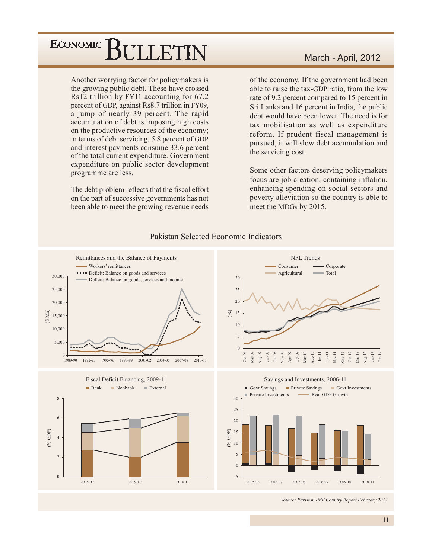Another worrying factor for policymakers is the growing public debt. These have crossed Rs12 trillion by FY11 accounting for 67.2 percent of GDP, against Rs8.7 trillion in FY09, a jump of nearly 39 percent. The rapid accumulation of debt is imposing high costs on the productive resources of the economy; in terms of debt servicing, 5.8 percent of GDP and interest payments consume 33.6 percent of the total current expenditure. Government expenditure on public sector development programme are less.

The debt problem reflects that the fiscal effort on the part of successive governments has not been able to meet the growing revenue needs

#### March - April, 2012

of the economy. If the government had been able to raise the tax-GDP ratio, from the low rate of 9.2 percent compared to 15 percent in Sri Lanka and 16 percent in India, the public debt would have been lower. The need is for tax mobilisation as well as expenditure reform. If prudent fiscal management is pursued, it will slow debt accumulation and the servicing cost.

Some other factors deserving policymakers focus are job creation, containing inflation, enhancing spending on social sectors and poverty alleviation so the country is able to meet the MDGs by 2015.



Pakistan Selected Economic Indicators

Source: Pakistan IMF Country Report February 2012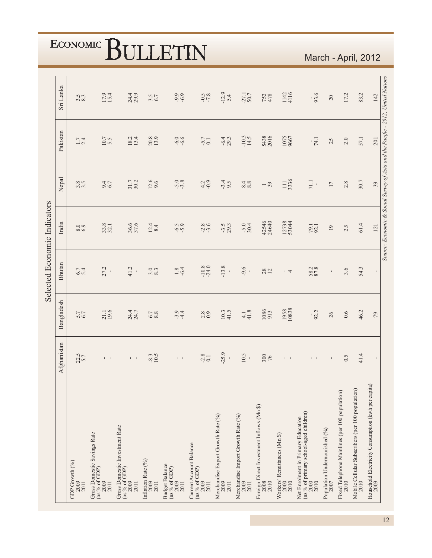| Sri Lanka                    |               | $3.\overline{3}$<br>8.3        | 17.9                                                         | 24.4                                                            | $3.5$<br>6.7                              | $-9.9$                                                    | $-7.8$                                                   | $-12.9$<br>5.4                                     | $-27.1$<br>50.7                                    | 752<br>478                                                | 1142<br>4116                                 | 93.6                                                                                         | $20\,$                                | 17.2                                                   | 83.2                                                     | 142                                                        | Source: Economic & Social Survey of Asia and the Pacific - 2012, United Nations |
|------------------------------|---------------|--------------------------------|--------------------------------------------------------------|-----------------------------------------------------------------|-------------------------------------------|-----------------------------------------------------------|----------------------------------------------------------|----------------------------------------------------|----------------------------------------------------|-----------------------------------------------------------|----------------------------------------------|----------------------------------------------------------------------------------------------|---------------------------------------|--------------------------------------------------------|----------------------------------------------------------|------------------------------------------------------------|---------------------------------------------------------------------------------|
|                              | Pakistan      | $1.7$<br>2.4                   | 10.7                                                         | $18.2$<br>$13.4$                                                | 20.8                                      | $-6.0$                                                    | $-5.7$                                                   | $-6.4$<br>29.3                                     | $-10.3$<br>14.5                                    | 5438                                                      | 1075<br>9667                                 | $\frac{1}{74.1}$                                                                             | 25                                    | 2.0                                                    | 57.1                                                     | 201                                                        |                                                                                 |
|                              | Nepal         | 3.5                            | $9.4$<br>6.7                                                 | 31.7                                                            | $12.6$<br>9.6                             | $-5.8$                                                    | 4.2                                                      | $-3.5$                                             | $\frac{8.8}{8.8}$                                  | $\frac{1}{3}$                                             | 111<br>3336                                  | $71.1\,$                                                                                     | 17                                    | 2.8                                                    | 30.7                                                     | 39                                                         |                                                                                 |
|                              | India         | $\frac{6.9}{6.9}$              | 33.8                                                         | 36.6                                                            | $12.4$<br>8.4                             | $-5.9$                                                    | $-2.8$                                                   | $-3.5$<br>29.3                                     | $-5.0$<br>30.4                                     | 42546<br>24640                                            | 12738<br>53044                               | 79.1                                                                                         | 19                                    | 2.9                                                    | 61.4                                                     | 121                                                        |                                                                                 |
| Selected Economic Indicators | <b>Bhutan</b> | 6.7                            | 27.2                                                         | 41.2<br>$\blacksquare$                                          | $3.\overline{3}$                          | 1.8                                                       | $-10.8$<br>$-24.0$                                       | $-13.8$                                            | $-9.6$<br>$\blacksquare$                           | 28                                                        | $\overline{4}$                               | 58.2<br>87.8                                                                                 | $\mathbf{I}$                          | 3.6                                                    | 54.3                                                     | $\mathbf{I}$                                               |                                                                                 |
|                              | Bangladesh    | 5.7                            | 21.1<br>19.6                                                 | 24.7<br>24.7                                                    | $\begin{array}{c} 6.7 \\ 8.8 \end{array}$ | $-3.4$                                                    | $\frac{8}{0.9}$                                          | $10.3$<br>41.5                                     | $4.1$<br>$41.8$                                    | 1086<br>913                                               | 1958<br>10838                                | $-92.2$                                                                                      | 26                                    | $0.6$                                                  | 46.2                                                     | $79$                                                       |                                                                                 |
|                              | Afghanistan   | $22.5$<br>5.7                  | $\Gamma = 1$                                                 | $\mathbf{I}=\mathbf{I}$                                         | $-8.3$<br>10.5                            | $\Gamma = 1$                                              | $-2.8$                                                   | $-25.9$                                            | 10.5                                               | 300                                                       | $\mathbf{I}=\mathbf{I}$                      | $\mathbf{I}=\mathbf{I}$                                                                      | $\mathbf I$                           | 0.5                                                    | 41.4                                                     |                                                            |                                                                                 |
|                              |               | GDP Growth (%)<br>2009<br>2011 | Gross Domestic Savings Rate<br>(as % of GDP)<br>2009<br>2011 | Gross Domestic Investment Rate<br>(as % of GDP)<br>2009<br>2011 | Inflation Rate (%)<br>2009<br>2011        | <b>Budget Balance</b><br>(as $\%$ of GDP)<br>2009<br>2011 | Current Account Balance<br>(as % of GDP)<br>2009<br>2011 | Merchandise Export Growth Rate (%)<br>2009<br>2011 | Merchandise Import Growth Rate (%)<br>2009<br>2011 | Foreign Direct Investment Inflows (Mn \$)<br>2008<br>2010 | Workers' Remittances (Mn \$)<br>2000<br>2010 | (as % of primary school-aged children)<br>Net Enrolment in Primary Education<br>2000<br>2010 | Population Undernourished (%)<br>2007 | Fixed Telephone Mainlines (per 100 population)<br>2010 | Mobile Cellular Subscribers (per 100 population)<br>2010 | Household Electricity Consumption (kwh per capita)<br>2009 |                                                                                 |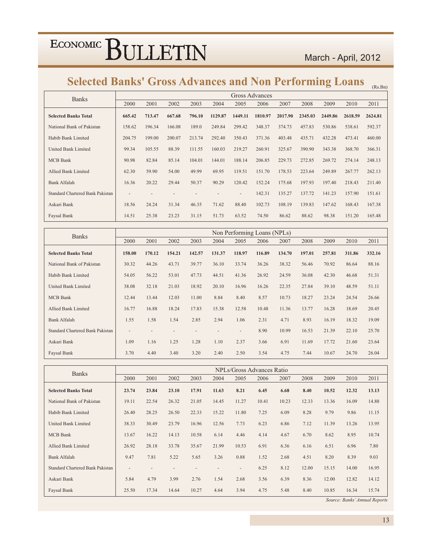#### March - April. 2012

#### Selected Banks' Gross Advances and Non Performing Loans  $\frac{}{\text{}}$   $\text{}}$   $\text{}}$

| <b>Banks</b>                     |                          |        |        |        |         | Gross Advances           |         |         |         |         |         |         |
|----------------------------------|--------------------------|--------|--------|--------|---------|--------------------------|---------|---------|---------|---------|---------|---------|
|                                  | 2000                     | 2001   | 2002   | 2003   | 2004    | 2005                     | 2006    | 2007    | 2008    | 2009    | 2010    | 2011    |
| <b>Selected Banks Total</b>      | 665.42                   | 713.47 | 667.68 | 796.10 | 1129.87 | 1449.11                  | 1810.97 | 2017.90 | 2345.03 | 2449.86 | 2618.59 | 2624.81 |
| National Bank of Pakistan        | 158.62                   | 196.34 | 166.08 | 189.0  | 249.84  | 299.42                   | 348.37  | 374.73  | 457.83  | 530.86  | 538.61  | 592.37  |
| Habib Bank Limited               | 204.75                   | 199.00 | 200.07 | 213.74 | 292.40  | 350.43                   | 371.36  | 403.48  | 435.71  | 432.28  | 473.41  | 460.00  |
| United Bank Limited              | 99.34                    | 105.55 | 88.39  | 111.55 | 160.03  | 219.27                   | 260.91  | 325.67  | 390.90  | 343.38  | 368.70  | 366.31  |
| <b>MCB</b> Bank                  | 90.98                    | 82.84  | 85.14  | 104.01 | 144.01  | 188.14                   | 206.85  | 229.73  | 272.85  | 269.72  | 274.14  | 248.13  |
| <b>Allied Bank Limited</b>       | 62.30                    | 59.90  | 54.00  | 49.99  | 69.95   | 119.51                   | 151.70  | 178.53  | 223.64  | 249.89  | 267.77  | 262.13  |
| Bank Alfalah                     | 16.36                    | 20.22  | 29.44  | 50.37  | 90.29   | 120.42                   | 152.24  | 175.68  | 197.93  | 197.40  | 218.43  | 211.40  |
| Standard Chartered Bank Pakistan | $\overline{\phantom{a}}$ |        |        |        |         | $\overline{\phantom{a}}$ | 142.31  | 135.27  | 137.72  | 141.23  | 157.90  | 151.61  |
| Askari Bank                      | 18.56                    | 24.24  | 31.34  | 46.35  | 71.62   | 88.40                    | 102.73  | 108.19  | 139.83  | 147.62  | 168.43  | 167.38  |
| Faysal Bank                      | 14.51                    | 25.38  | 23.23  | 31.15  | 51.73   | 63.52                    | 74.50   | 86.62   | 88.62   | 98.38   | 151.20  | 165.48  |

| <b>Banks</b>                            |                          |        |        |        |        |                          | Non Performing Loans (NPLs) |        |        |        |        |        |
|-----------------------------------------|--------------------------|--------|--------|--------|--------|--------------------------|-----------------------------|--------|--------|--------|--------|--------|
|                                         | 2000                     | 2001   | 2002   | 2003   | 2004   | 2005                     | 2006                        | 2007   | 2008   | 2009   | 2010   | 2011   |
| <b>Selected Banks Total</b>             | 158.00                   | 170.12 | 154.21 | 142.57 | 131.37 | 118.97                   | 116.89                      | 134.70 | 197.01 | 257.81 | 311.86 | 332.16 |
| National Bank of Pakistan               | 30.32                    | 44.26  | 43.71  | 39.77  | 36.10  | 33.74                    | 36.26                       | 38.32  | 56.46  | 70.92  | 86.64  | 88.16  |
| Habib Bank Limited                      | 54.05                    | 56.22  | 53.01  | 47.73  | 44.51  | 41.36                    | 26.92                       | 24.59  | 36.08  | 42.30  | 46.68  | 51.31  |
| <b>United Bank Limited</b>              | 38.08                    | 32.18  | 21.03  | 18.92  | 20.10  | 16.96                    | 16.26                       | 22.35  | 27.84  | 39.10  | 48.59  | 51.11  |
| <b>MCB</b> Bank                         | 12.44                    | 13.44  | 12.03  | 11.00  | 8.84   | 8.40                     | 8.57                        | 10.73  | 18.27  | 23.24  | 24.54  | 26.66  |
| <b>Allied Bank Limited</b>              | 16.77                    | 16.88  | 18.24  | 17.83  | 15.38  | 12.58                    | 10.48                       | 11.36  | 13.77  | 16.28  | 18.69  | 20.45  |
| <b>Bank Alfalah</b>                     | 1.55                     | 1.58   | 1.54   | 2.85   | 2.94   | 1.06                     | 2.31                        | 4.71   | 8.93   | 16.19  | 18.32  | 19.09  |
| <b>Standard Chartered Bank Pakistan</b> | $\overline{\phantom{a}}$ |        |        |        |        | $\overline{\phantom{a}}$ | 8.90                        | 10.99  | 16.53  | 21.39  | 22.10  | 25.70  |
| Askari Bank                             | 1.09                     | 1.16   | 1.25   | 1.28   | 1.10   | 2.37                     | 3.66                        | 6.91   | 11.69  | 17.72  | 21.60  | 23.64  |
| Faysal Bank                             | 3.70                     | 4.40   | 3.40   | 3.20   | 2.40   | 2.50                     | 3.54                        | 4.75   | 7.44   | 10.67  | 24.70  | 26.04  |

| <b>Banks</b>                     |                          |       |       |       |       | NPLs/Gross Advances Ratio |       |       |       |       |       |       |
|----------------------------------|--------------------------|-------|-------|-------|-------|---------------------------|-------|-------|-------|-------|-------|-------|
|                                  | 2000                     | 2001  | 2002  | 2003  | 2004  | 2005                      | 2006  | 2007  | 2008  | 2009  | 2010  | 2011  |
| <b>Selected Banks Total</b>      | 23.74                    | 23.84 | 23.10 | 17.91 | 11.63 | 8.21                      | 6.45  | 6.68  | 8.40  | 10.52 | 12.32 | 13.13 |
| National Bank of Pakistan        | 19.11                    | 22.54 | 26.32 | 21.05 | 14.45 | 11.27                     | 10.41 | 10.23 | 12.33 | 13.36 | 16.09 | 14.88 |
| Habib Bank Limited               | 26.40                    | 28.25 | 26.50 | 22.33 | 15.22 | 11.80                     | 7.25  | 6.09  | 8.28  | 9.79  | 9.86  | 11.15 |
| <b>United Bank Limited</b>       | 38.33                    | 30.49 | 23.79 | 16.96 | 12.56 | 7.73                      | 6.23  | 6.86  | 7.12  | 11.39 | 13.26 | 13.95 |
| <b>MCB</b> Bank                  | 13.67                    | 16.22 | 14.13 | 10.58 | 6.14  | 4.46                      | 4.14  | 4.67  | 6.70  | 8.62  | 8.95  | 10.74 |
| Allied Bank Limited              | 26.92                    | 28.18 | 33.78 | 35.67 | 21.99 | 10.53                     | 6.91  | 6.36  | 6.16  | 6.51  | 6.96  | 7.80  |
| <b>Bank Alfalah</b>              | 9.47                     | 7.81  | 5.22  | 5.65  | 3.26  | 0.88                      | 1.52  | 2.68  | 4.51  | 8.20  | 8.39  | 9.03  |
| Standard Chartered Bank Pakistan | $\overline{\phantom{a}}$ |       |       |       |       | $\overline{\phantom{a}}$  | 6.25  | 8.12  | 12.00 | 15.15 | 14.00 | 16.95 |
| Askari Bank                      | 5.84                     | 4.79  | 3.99  | 2.76  | 1.54  | 2.68                      | 3.56  | 6.39  | 8.36  | 12.00 | 12.82 | 14.12 |
| Faysal Bank                      | 25.50                    | 17.34 | 14.64 | 10.27 | 4.64  | 3.94                      | 4.75  | 5.48  | 8.40  | 10.85 | 16.34 | 15.74 |

Source: Banks' Annual Reports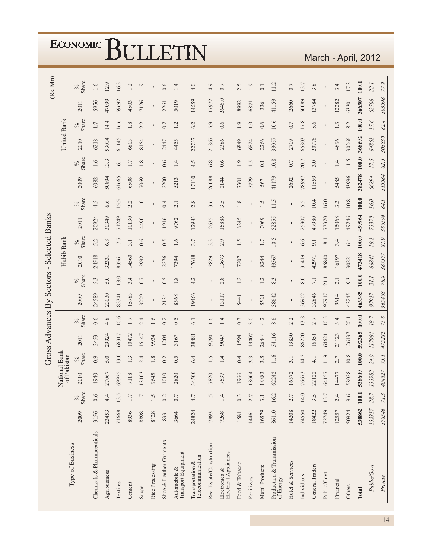|                                        |             |               |                              |         | Gross Advances By |               |                | Sectors          | $\blacksquare$ |               | <b>Selected Banks</b> |               |                |                       |             |                                                     |              | (Rs. Mn)      |
|----------------------------------------|-------------|---------------|------------------------------|---------|-------------------|---------------|----------------|------------------|----------------|---------------|-----------------------|---------------|----------------|-----------------------|-------------|-----------------------------------------------------|--------------|---------------|
| Type of Business                       |             |               | National Bank<br>of Pakistan |         |                   |               |                |                  | Habib Bank     |               |                       |               |                |                       | United Bank |                                                     |              |               |
|                                        | 2009        | Share<br>$\%$ | 2010                         | Share   | 2011              | Share<br>$\%$ | 2009           | Share<br>$\%$    | 2010           | Share<br>$\%$ | 2011                  | Share<br>$\%$ | 2009           | Share<br>$\%$         | 2010        | Share<br>$\%$                                       | 2011         | Share<br>$\%$ |
| Chemicals & Pharmaceuticals            | 3156        | 0.6           | 4940                         | 0.9     | 3453              | 0.6           | 24589          | 5.3              | 24518          | 5.2           | 20924                 | 4.5           | 6082           | 1.6                   | 6218        | $1.7\,$                                             | 5956         | 1.6           |
| Agribusiness                           | 23453       | 4.4           | 27067                        | 5.0     | 29924             | 4.8           | 23030          | 5.0              | 32331          | 6.8           | 30349                 | 6.6           | 50894          | 13.3                  | 53034       | 14.4                                                | 47099        | 12.9          |
| Textiles                               | 71668       | 13.5          | 69925                        | 13.0    | 66317             | 10.6          | 83341          | 18.0             | 83561          | 17.7          | 71249                 | 15.5          | 61665          | 16.1                  | 61145       | 16.6                                                | 59692        | 16.3          |
| Cement                                 | 8936        | $1.7\,$       | 7118                         | 1.3     | 10472             | $1.7\,$       | 15783          | 3.4              | 14560          | 3.1           | 10130                 | 2.2           | 6508           | 1.7                   | 6803        | $1.8\,$                                             | 4503         | 1.2           |
| Sugar                                  | 8898        | $1.7\,$       | 13103                        | 2.4     | 15147             | 2.4           | 3229           | 0.7              | 2992           | 0.6           | 4490                  | $1.0\,$       | 7069           | $1.8\,$               | 8154        | 2.2                                                 | 7126         | 1.9           |
| Rice Processing                        | 8128        | 1.5           | 9645                         | 1.8     | 9934              | 1.6           |                |                  |                |               |                       |               |                |                       |             |                                                     |              |               |
| Shoe & Leather Garments                | 833         | 0.2           | 010                          | 0.2     | 1204              | 0.2           | 2134           | 0.5              | 2276           | 0.5           | 1916                  | 0.4           | 2200           | 0.6                   | 2447        | 0.7                                                 | 2261         | 0.6           |
| Transport Equipment<br>Automobile &    | 3664        | 0.7           | 2820                         | 0.5     | 3167              | 0.5           | 8568           | 1.8              | 7394           | 1.6           | 9762                  | 2.1           | 5213           | 1.4                   | 4455        | 1.2                                                 | 5019         | 1.4           |
| Telecommunication<br>Transportation &  | 24824       | $4.7$         | 34500                        | 6.4     | 38481             | 6.1           | 19466          | 4.2              | 17618          | 3.7           | 12983                 | 2.8           | 17110          | $\ddot{\Omega}$<br>4. | 22737       | 6.2                                                 | 14559        | 4.0           |
| Real Estate/Construction               | 7893        | 1.5           | 820<br>$\overline{ }$        | 1.5     | 9790              | 1.6           | $\blacksquare$ |                  | 2829           | 3.3           | 2635                  | 3.6           | 26088          | 6.8                   | 21867       | 5.9                                                 | 17972        | 4.9           |
| Electrical Appliances<br>Electronics & | 7268        | 1.4           | 7537                         | 1.4     | 9047              | 1.4           | 13117          | 2.8              | 13673          | 2.9           | 15886                 | 3.5           | 2144           | 0.6                   | 2386        | 0.6                                                 | 2646.0       | 0.7           |
| Food & Tobacco                         | 1581        | 0.3           | 966                          | 0.4     | 1594              | 0.3           | 5441           | 1.2              | 7207           | 1.5           | 8245                  | $1.8\,$       | 7301           | 1.9                   | 6849        | 1.9                                                 | 8992         | 2.5           |
| Fertilizers                            | 14461       | 2.7           | 18004                        | 3.3     | 19007             | 3.0           |                |                  |                |               |                       |               | 5729           | 1.5                   | 6824        | 1.9                                                 | 6871         | 1.9           |
| Metal Products                         | 16579       | 3.1           | 18883                        | 3.5     | 26444             | 4.2           | 5521           | 1.2              | 8244           | 1.7           | 7069                  | Ċ,            | 567            | 0.1                   | 2266        | 0.6                                                 | 336          | 0.1           |
| Production & Transmission<br>of Energy | 86110       | 16.2          | 62242                        | 11.6    | 54116             | 8.6           | 38642          | 8.3              | 49567          | 10.5          | 52855                 | 11.5          | 41179          | 10.8                  | 39057       | 10.6                                                | 41159        | 11.2          |
| Hotel & Services                       | 14208       | 2.7           | 16572                        | 3.1     | 13850             | 2.2           |                |                  |                |               |                       |               | 2692           | 0.7                   | 2709        | 0.7                                                 | 2660         | 0.7           |
| Individuals                            | 74550       | 14.0          | 76673                        | 14.2    | 86220             | 13.8          | 36902          | 8.0              | 31419          | 6.6           | 25307                 | 5.5           | 78997          | 20.7                  | 65803       | 17.8                                                | 50089        | 13.7          |
| General Traders                        | 18422       | 3.5           | 22122                        | 4.1     | 16951             | 2.7           | 32846          | $\overline{7.1}$ | 42971          | 9.1           | 47980                 | 10.4          | 11559          | 3.0                   | 20776       | 5.6                                                 | 13784        | 3.8           |
| Public/Govt                            | 72749       | 13.7          | 64157                        | 11.9    | 64621             | 10.3          | 97917          | 21.1             | 85840          | 18.1          | 73370                 | 16.0          | $\blacksquare$ |                       |             | $\begin{array}{c} \rule{0.2cm}{0.15mm} \end{array}$ | $\mathbf{I}$ |               |
| Financial                              | 12557       | 2.4           | 14477                        | 2.7     | 21123             | 3.4           | 9614           | 2.1              | 16197          | 3.4           | 15068                 | 3.3           | 5485           | 1.4                   | 4896        | 1.3                                                 | 12282        | 3.4           |
| Others                                 | 50924       | 9.6           | 58028                        | 10.8    | 126137            | 20.1          | 43245          | 9.3              | 30221          | 6.4           | 49746                 | 10.8          | 43996          | 11.5                  | 30266       | 8.2                                                 | 63301        | 17.3          |
| Total                                  | 530862      | $100.0$       | 538609                       | $100.0$ | 592365            | $100.0$       | 463385         | 100.0            | 473418         | $100.0$       | 459964                | $100.0$       | 382478         | $100.0$               | 368692      | 100.0                                               | 366307       | 100.0         |
| Public/Govt                            | 152317      | 28.7          | 133982                       | 24.9    | 117084            | 18.7          | 97917          | 21.1             | 86841          | $18.1\,$      | 73370                 | 16.0          | 66894          | 17.5                  | 64861       | 17.6                                                | 62708        | 22.1          |
| Private                                | 378546 71.3 |               | 404627                       | 75.1    | 475282            | 75.8          | 365468         | 78.9             | 387577         | 81.9          | 386594                | 84.1          | 315584         | 82.5                  | 303830      | 82.4                                                | 303598       | 77.9          |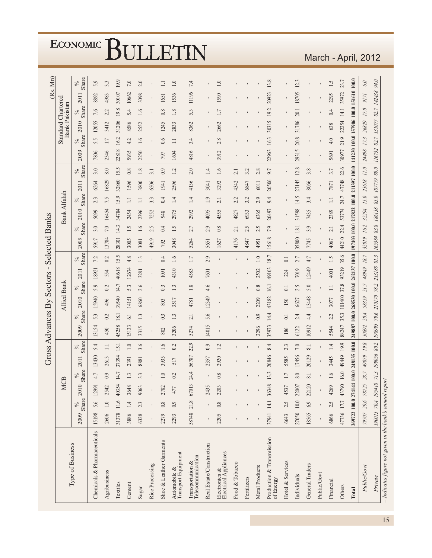|                                                                                       |                                        |            |            |                     | Gross       |                 | Advances By    |                  |                | Sectors          | $\blacksquare$                         |                  | <b>Selected Banks</b>                  |               |              |               |       |                 |        |               |                                                   |                | (Rs. Mn)       |               |
|---------------------------------------------------------------------------------------|----------------------------------------|------------|------------|---------------------|-------------|-----------------|----------------|------------------|----------------|------------------|----------------------------------------|------------------|----------------------------------------|---------------|--------------|---------------|-------|-----------------|--------|---------------|---------------------------------------------------|----------------|----------------|---------------|
|                                                                                       |                                        |            | Ž          | <b>CB</b>           |             |                 |                |                  | Allied Bank    |                  |                                        |                  |                                        |               | Bank Alfalah |               |       |                 |        |               | <b>Standard Chartered</b><br><b>Bank Pakistan</b> |                |                |               |
| Type of Business                                                                      | 2009                                   | $\%$       | Share 2010 | Share<br>$\%$       | 2011        | Share<br>$\%$   | 2009           | Share<br>$\%$    | 2010           | Share<br>$\%$    | 2011                                   | Share<br>$\%$    | 2009                                   | Share<br>$\%$ | 2010         | Share<br>$\%$ | 2011  | Share<br>$\%$   | 2009   | Share<br>$\%$ | 2010                                              | Share<br>$\%$  | 2011           | Share<br>$\%$ |
| Chemicals & Pharmaceuticals                                                           | 15198                                  | 5.6        | 12991      | 4.7                 | 13430       | 5.4             | 13154          | 5.3              | 15940          | 5.9              | 18921                                  | 7.2              | 5917                                   | 3.0           | 5099         | 2.3           | 6264  | 3.0             | 7806   | 5.5           | 12055                                             | 0.7            | 8892           | 5.9           |
| Agribusiness                                                                          | 2606                                   | $1.0\,$    | 2542       | 0.9                 | 2613        | $\Box$          | 450            | 0.2              | 496            | 0.2              | 554                                    | 0.2              | 13784                                  | $7.0\,$       | 16454        | 7.5           | 16829 | $8.0\,$         | 2346   | 1.7           | 3412                                              | 2.2            | 4983           | 3.3           |
| Textiles                                                                              | 31378                                  | 11.6 40354 |            | 14.7                | 37394       | 15.1            | 45258          | 181              | 39540          | 14.7             | 40618                                  | 15.5             | 28301                                  | 14.3          | 34784        | 15.9          | 32860 | 15.5            | 22818  | 16.2          | 31206                                             | 19.8           | 30107          | 19.9          |
| Cement                                                                                | 3886                                   | $1.4\,$    | 3648       | 1.3                 | 2391        | 1.0             | 15133          | 6.1              | 14151          | 5.3              | 12674                                  | 4.8              | 3005                                   | 1.5           | 2454         | $\Box$        | 1596  | $0.8\,$         | 5935   | 4.2           | 8586                                              | 5.4            | 10662          | $7.0\,$       |
| Sugar                                                                                 | 6328                                   | 23         | 9063       | 3.3                 | 8881        | 3.6             | 3315           | 1.3              | 6860           | 2.6              | 3281                                   | 1.3              | 3081                                   | $\ddot{0}$    | 2396         | $\Box$        | 3800  | $1.8\,$         | 2250   | 1.6           | 2552                                              | 1.6            | 3098           | 2.0           |
| Rice Processing                                                                       |                                        |            |            |                     |             |                 | $\blacksquare$ | ٠                | $\blacksquare$ |                  | $\blacksquare$                         |                  | 4919                                   | 2.5           | 7252         | 3.3           | 6506  | 3.1             |        |               |                                                   | $\blacksquare$ | $\blacksquare$ |               |
| Shoe & Leather Garments                                                               | 2279                                   | 0.8        | 2782       | $\supseteq$         | 3935        | 1.6             | 802            | 0.3              | 803            | 0.3              | 1091                                   | 0.4              | 792                                    | 0.4           | 948          | 0.4           | 1941  | 0.9             | 797    | 0.6           | 1245                                              | 0.8            | 1651           | $\Xi$         |
| Automobile &<br>Transport Equipment                                                   | 2293                                   | 0.9        | 477        | 0.2                 | 517         | 0.2             | 3206           | 1.3              | 3517           | 1.3              | 4310                                   | 1.6              | 3048                                   | 1.5           | 2975         | 1.4           | 2596  | 1.2             | 1604   | $\Box$        | 2833                                              | 1.8            | 1536           | $1.0\,$       |
| $\begin{array}{l} \mbox{Transportation} \ \& \\ \mbox{Telecommunication} \end{array}$ | 58748                                  | 21.8 67013 |            | 24.4                | 56787       | 22.9            | 5274           | 2.1              | 4781           | $1.8\,$          | 4583                                   | 1.7              | 5264                                   | 2.7           | 2992         | 1.4           | 4136  | 2.0             | 4816   | 3.4           | 8362                                              | 5.3            | 11196          | 74            |
| Real Estate/Construction                                                              |                                        |            | 2435       |                     | 2357        | 0.9             | 14015          | 5.6              | 12349          | 4.6              | 7601                                   | 2.9              | 5651                                   | 2.9           | 4095         | 1.9           | 3041  | $\overline{14}$ |        |               |                                                   |                |                |               |
| ${\rm Electronics~\&}\\ {\rm Electrical~Applications}\\$                              | 2205                                   | 0.8        | 2203       | 0.8                 | 2920        | $\overline{12}$ |                |                  |                |                  |                                        |                  | 1627                                   | 0.8           | 4555         | 2.1           | 3292  | 1.6             | 3912   | 2.8           | 2662                                              | 1.7            | 1590           | 1.0           |
| Food & Tobacco                                                                        |                                        |            |            |                     |             |                 |                |                  |                |                  |                                        |                  | 4176                                   | 2.1           | 4827         | 2.2           | 4342  | 2.1             |        |               |                                                   |                |                |               |
| Fertilizers                                                                           |                                        |            |            |                     |             |                 |                |                  |                |                  | $\blacksquare$                         |                  | 4847                                   | 2.5           | 6933         | 3.2           | 6847  | 3.2             |        |               |                                                   |                |                |               |
| Metal Products                                                                        |                                        |            |            |                     |             |                 | 2296           | 0.9              | 2209           | 0.8              | 2502                                   | 1.0              | 4951                                   | 2.5           | 6365         | 2.9           | 6011  | 2.8             |        |               |                                                   |                |                |               |
| Production & Transmission of Energy                                                   | 37941 14.1 36348                       |            |            | 13.3                | 20846       | 8.4             | 35973          | 14.4             | 43182          | 16.1             | 49103                                  | 18.7             | 15618                                  | 7.9           | 20497        | 9.4           | 20506 | 9.7             | 22963  | 16.3          | 30315                                             | 19.2           | 20923          | 13.8          |
| Hotel & Services                                                                      | 6643                                   | 2.5        | 4537       | 1.7                 | 5585        | 2.3             | 186            | $\overline{0}$ . | 150            | $\overline{0}$ . | 224                                    | $\overline{0}$ . |                                        | ٠             |              |               |       |                 |        |               |                                                   | ٠              | $\blacksquare$ |               |
| Individuals                                                                           | 27050 10.0 22007                       |            |            | 8.0                 | 17456       | 7.0             | 6122           | 2.4              | 6627           | 2.5              | 7019                                   | 2.7              | 35800                                  | 18.1          | 31598        | 14.5          | 27145 | 12.8            | 29315  | 20.8          | 31786                                             | 20.1           | 18705          | 12.3          |
| General Traders                                                                       | 18565                                  | 6.9        | 22120      | $\overline{\infty}$ | 20129       | 8.1             | 10912          | 4.4              | 13448          | 5.0              | 12449                                  | 4.7              | 7745                                   | 3.9           | 7435         | 3.4           | 8066  | 3.8             |        |               |                                                   |                |                |               |
| Public/Govt                                                                           |                                        |            |            |                     |             |                 | $\blacksquare$ |                  |                |                  | $\blacksquare$                         |                  | $\blacksquare$                         |               |              |               |       |                 |        |               |                                                   |                |                |               |
| Financial                                                                             | 6866                                   | 2.5        | 4269       | 1.6                 | 3445        | 1.4             | 5544           | 2.2              | 3077           | $\Box$           | 4001                                   | 1.5              | 4067                                   | 2.1           | 2389         | $\Box$        | 7871  | 3.7             | 5691   | 4.0           | 638                                               | 0.4            | 2295           | $\ddot{1.5}$  |
| Others                                                                                | 47736 17.7                             |            | 43790      | 16.0                | 49449       | 19.9            | 88247          | 35.3             | 101400         | 37.8             | 93219                                  | 35.6             | 44210                                  | 22.4          | 53774        | 24.7          | 47748 | 22.6            | 30977  | 21.9          | 22254                                             | 14.1           | 35972          | 23.7          |
| Total                                                                                 | 269722 100.0 274144 100.0 248135 100.0 |            |            |                     |             |                 |                |                  |                |                  | 249887 100.0 268530 100.0 262137 100.0 |                  | 197403 100.0 217822 100.0 211397 100.0 |               |              |               |       |                 |        |               | 141230 100.0 157906 100.0 151610 100.0            |                |                |               |
| Public/Govt                                                                           | 79707 29.6 78725                       |            |            | 28.7                | 49079       | 19.8            | 50892          | 20.4             | 58359          | 21.7             | 48949                                  | 18.7             | 32019                                  | 16.2          | 32294        | 15.0          | 23618 | $\it 11.0$      | 24498  | 17.3          | 26829                                             | 17.0           | 9171           | 6.0           |
| Private                                                                               | 190015 70.4 195418                     |            |            | 71.3                | 199056 80.2 |                 | 198995         | 79.6             | 210170         | 78.2             | 213188 81.3                            |                  | 165384                                 | 83.8          | 186138       | 85.0 187779   |       | 89.0            | 116732 | 82.7          | 131077                                            | 82.7           | 142438         | 94.0          |
| - Indicates figure not given in the bank's annual report                              |                                        |            |            |                     |             |                 |                |                  |                |                  |                                        |                  |                                        |               |              |               |       |                 |        |               |                                                   |                |                |               |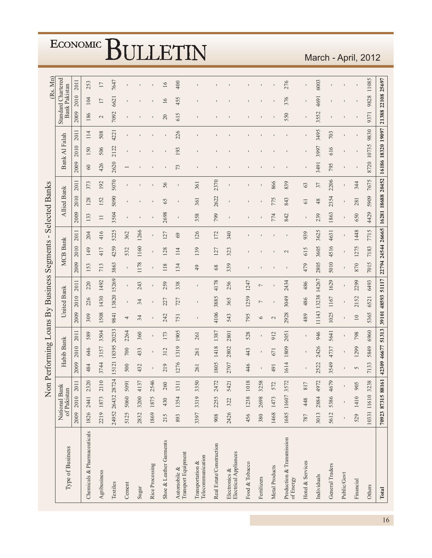|                                                          |      |             | Non               |          |             |                   |               |                    | Performing Loans By Business |             | Segments          | $\blacksquare$ | <b>Selected Banks</b> |                    |                |                     |               |      |                           |                      | (Rs. Mn) |
|----------------------------------------------------------|------|-------------|-------------------|----------|-------------|-------------------|---------------|--------------------|------------------------------|-------------|-------------------|----------------|-----------------------|--------------------|----------------|---------------------|---------------|------|---------------------------|----------------------|----------|
| Type of Business                                         |      | of Pakistan | National Bank     |          | Habib Bank  |                   |               | <b>United Bank</b> |                              |             | <b>MCB Bank</b>   |                |                       | <b>Allied Bank</b> |                |                     | Bank Al Falah |      | <b>Standard Chartered</b> | <b>Bank Pakistan</b> |          |
|                                                          | 2009 | 2010        | 2011              | 2009     | 2010        | 2011              | 2009          | 2010               | 2011                         | 2009        | 2010              | 2011           | 2009                  | 2010               | 2011           | 2009                | 2010          | 2011 | 2009                      | 2010                 | 2011     |
| Chemicals & Pharmaceuticals                              | 1826 | 2441        | 2320              | 484      | 646         | 589               | 309           | 226                | 220                          | 153         | 149               | 204            | 133                   | 128                | 373            | $\pmb{\mathcal{S}}$ | 150           | 114  | 186                       | 104                  | 253      |
| Agribusiness                                             |      |             | 2219 1873 2110    | 3744     | 3157        | 3504              | 1508          | 1430               | 1492                         | 713         | 417               | 416            | $\Box$                | 152                | 192            | 426                 | 506           | 508  | $\mathbf{C}$              | 17                   | 17       |
| Textiles                                                 |      |             | 24952 26432 28724 |          | 15121 18395 | 20233             | 9841          | 13820 15269        |                              | 3863        | 4259              | 5225           | 3504                  | 5090               | 5070           | 2620                | 2122          | 4221 | 7092                      | 6621                 | 7647     |
| Cement                                                   | 5125 |             | 5060 5091         | 500      | 700         | 2264              | 4             | $\mathsf I$        | $\mathbf I$                  | $\mathbf I$ | 532               | 362            |                       |                    |                |                     |               |      |                           |                      |          |
| Sugar                                                    | 2832 |             | 3200 4137         | 432      | 433         | 360               | 34            | 34                 | 243                          | 1178        | 1160              | 1266           |                       |                    |                |                     |               |      |                           |                      |          |
| Rice Processing                                          | 1869 | 1875        | 2546              |          |             |                   |               |                    |                              |             |                   |                |                       |                    |                |                     |               |      |                           |                      |          |
| Shoe & Leather Garments                                  | 215  | 430         | 260               | 219      | 312         | 173               | 242           | 227                | 259                          | 118         | 128               | 127            | 2698                  | 65                 | 56             |                     |               |      | 20                        | 16                   | 16       |
| Transport Equipment<br>Automobile &                      | 893  | 1354        | 1311              | 1276     | 1319        | 1905              | 751           | 727                | 338                          | 134         | 114               | 69             | $\mathbf{I}$          | ı                  | $\blacksquare$ | 73                  | 193           | 226  | 615                       | 455                  | 400      |
| Telecommunication<br>Transportation &                    | 3397 | 3319        | 3350              | 261      | 261         | 261               |               |                    | $\mathbf I$                  | 49          | 139               | 126            | 358                   | 361                | 361            |                     |               |      |                           |                      |          |
| Real Estate/Construction                                 | 908  | 2255        | 2472              | 1805     | 1418        | 1387              | 4106          | 3885               | 4178                         | $68$        | 127               | 172            | 799                   | 2622               | 2370           |                     |               |      |                           |                      |          |
| ${\rm Electronics~\&}\\ {\rm Electrical~Applications}\\$ | 2426 | 322         | 5421              | 2707     | 2802        | 2801              | 543           | 365                | 256                          | 339         | 323               | 340            | $\blacksquare$        |                    |                |                     |               |      |                           |                      |          |
| Food & Tobacco                                           | 456  |             | 1238 1018         | 446      | 443         | 528               | 795           | 1259               | 1247                         |             |                   |                |                       |                    | $\blacksquare$ |                     |               |      |                           |                      |          |
| Fertilizers                                              | 380  | 2698        | 3258              |          |             |                   | $\circ$       | $\overline{ }$     | $\overline{ }$               |             |                   |                |                       |                    |                |                     |               |      |                           |                      |          |
| Metal Products                                           | 1468 | 1473        | 572               | 491      | 671         | 912               | $\mathcal{L}$ |                    |                              |             |                   |                | 774                   | 775                | 866            |                     |               |      |                           |                      |          |
| Production & Transmission<br>of Energy                   |      |             | 1685 11607 3572   | 1614     | 1809        | 2051              | 2928          | 3049               | 2434                         |             | $\sim$            |                | 842                   | 843                | 839            |                     |               |      | 550                       | 376                  | 276      |
| Hotel & Services                                         | 787  | 448         | 817               |          |             |                   | 489           | 486                | 486                          | 479         | 615               | 939            |                       | $\overline{61}$    | 63             |                     |               |      |                           |                      |          |
| Individuals                                              | 3013 |             | 2884 4972         | 2522     | 2426        | 946               | 11143         | 13238              | 14267                        | 2805        | 3605              | 3625           | 239                   | 48                 | 37             | 3491                | 3997          | 3495 | 3552                      | 4691                 | 6003     |
| General Traders                                          | 5612 |             | 5386 4679         | 3549     | 4737        | 5641              | 1025          | 1167               | 1629                         | 5010        | 4516              | 4631           | 1863                  | 2354               | 2206           | 795                 | 616           | 703  |                           |                      |          |
| Public/Govt                                              |      |             |                   |          |             |                   |               | $\blacksquare$     |                              |             |                   |                |                       | $\blacksquare$     |                |                     |               |      |                           |                      |          |
| Financial                                                | 529  | 1410        | 905               | $\sigma$ | 1299        | 798               | $10\,$        | 2152               | 2299                         | 870         | 1275              | 1448           | 650                   | 281                | 344            | $\blacksquare$      |               |      |                           |                      |          |
| Others                                                   |      |             | 10331 11610 3238  | 7133     | 5849        | 6960              | 5365          | 6521               | 6493                         | 7015        | 7183              | 7715           | 4429                  | 5909               | 7675           | 8720 10735          |               | 9830 | 9371                      | 9828                 | 11085    |
| Total                                                    |      |             | 70923 87315 88161 |          |             | 42309 46677 51313 |               | 39101 48593 51117  |                              |             | 22794 24544 26665 |                | 16281 18688 20452     |                    |                | 16186 18320 19097   |               |      | 21388 22108 25697         |                      |          |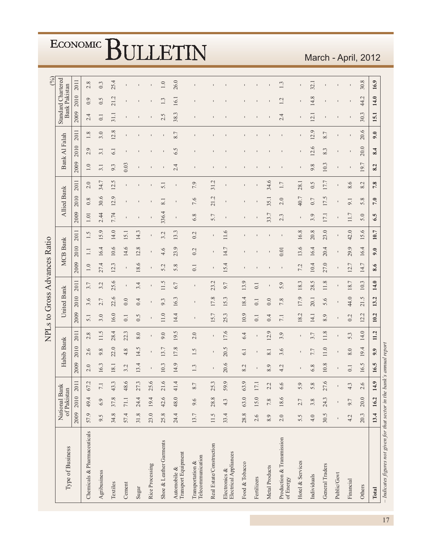|                                                                           |       |             |                      |      |               |                |                    |             | NPLs to Gross Advances Ratio |                |                 |                |                                                                                                                                                                                                                                                                                                                                                      |                     |      |      |                   |         |                           |                      | (%)     |
|---------------------------------------------------------------------------|-------|-------------|----------------------|------|---------------|----------------|--------------------|-------------|------------------------------|----------------|-----------------|----------------|------------------------------------------------------------------------------------------------------------------------------------------------------------------------------------------------------------------------------------------------------------------------------------------------------------------------------------------------------|---------------------|------|------|-------------------|---------|---------------------------|----------------------|---------|
| Type of Business                                                          |       | of Pakistan | National Bank        |      | Habib Bank    |                |                    | United Bank |                              |                | <b>MCB</b> Bank |                |                                                                                                                                                                                                                                                                                                                                                      | <b>Allied Bank</b>  |      |      | Bank Al Falah     |         | <b>Standard Chartered</b> | <b>Bank Pakistan</b> |         |
|                                                                           | 2009  | 2010        | 2011                 | 2009 | 2010          | 2011           | 2009               | 2010        | 2011                         | 2009           | 2010            | 2011           | 2009                                                                                                                                                                                                                                                                                                                                                 | 2010                | 2011 | 2009 | 2010              | 2011    | 2009                      | 2010                 | 2011    |
| Chemicals & Pharmaceuticals                                               | 57.9  | 49.4        | $\mathcal{C}$<br>67. | 2.0  | 2.6           | 2.8            | 5.1                | 3.6         | 3.7                          | 1.0            | $\Box$          | 1.5            | 1.01                                                                                                                                                                                                                                                                                                                                                 | 0.8                 | 2.0  | 1.0  | $\circ$<br>$\sim$ | $1.8\,$ | 2.4                       | 0.9                  | 2.8     |
| Agribusiness                                                              | 9.5   | 6.9         | $\overline{71}$      | 16.3 | $\infty$<br>ö | 11.5           | 3.0                | 2.7         | 3.2                          | 27.4           | 16.4            | 15.9           | 2.44                                                                                                                                                                                                                                                                                                                                                 | 30.6                | 34.7 | 3.1  | 3.1               | 3.0     | $\overline{0}$ .          | 0.5                  | 0.3     |
| Textiles                                                                  | 34.8  | 37.8        | 43.3                 | 18.1 | 22.0          | 28.4           | 16.0               | 22.6        | 25.6                         | 12.3           | 10.6            | 14.0           | 7.74                                                                                                                                                                                                                                                                                                                                                 | 12.9                | 12.5 | 9.3  | 6.1               | 12.8    | 31.1                      | 21.2                 | 25.4    |
| Cement                                                                    | 57.4  | 71.1        | 48.6                 | 3.2  | 4.8           | 22.3           | 0.1                | 0.0         |                              |                | 14.6            | 15.1           |                                                                                                                                                                                                                                                                                                                                                      |                     |      | 0.03 |                   |         |                           |                      |         |
| Sugar                                                                     | 31.8  | 24.4        | 27.3                 | 13.4 | 14.5          | 8.0            | 0.5                | 0.4         | 3.4                          | 18.6           | 12.8            | 14.3           |                                                                                                                                                                                                                                                                                                                                                      |                     |      |      |                   |         |                           |                      |         |
| Rice Processing                                                           | 23.0  | 19.4        | 25.6                 |      | $\mathbf{I}$  |                |                    |             |                              |                | 1               |                |                                                                                                                                                                                                                                                                                                                                                      |                     |      |      |                   |         |                           |                      |         |
| Shoe & Leather Garments                                                   | 25.8  | 42.6        | 21.6                 | 10.3 | 13.7          | 9.0            | 11.0               | 9.3         | 11.5                         | 5.2            | 4.6             | 3.2            | 336.4                                                                                                                                                                                                                                                                                                                                                | $\overline{\infty}$ | 5.1  |      |                   |         | S<br>$\sim$               | 1.3                  | $1.0\,$ |
| Automobile &<br>Transport Equipment                                       | 24.4  | 48.0        | 41.4                 | 14.9 | 17.8          | 19.5           | 14.4               | 16.3        | 6.7                          | 5.8            | 23.9            | 13.3           | $\mathbf I$                                                                                                                                                                                                                                                                                                                                          |                     |      | 2.4  | 6.5               | 8.7     | 38.3                      | 16.1                 | 26.0    |
| Telecommunication<br>Transportation &                                     | 13.7  | 9.6         | 8.7                  | 1.3  | 1.5           | 2.0            | $\mathbf{I}$       |             | $\overline{\phantom{a}}$     | 0.1            | 0.2             | 0.2            | 6.8                                                                                                                                                                                                                                                                                                                                                  | 7.6                 | 7.9  |      |                   |         |                           |                      |         |
| Real Estate/Construction                                                  | 11.5  | 28.8        | 25.3                 |      | $\mathbf I$   | $\mathbf I$    | 15.7               | 17.8        | 23.2                         | $\blacksquare$ | $\mathbf I$     |                | 5.7                                                                                                                                                                                                                                                                                                                                                  | 21.2                | 31.2 |      |                   |         |                           |                      |         |
| Electrical Appliances<br>Electronics $\&$                                 | 33.4  | 4.3         | 59.9                 | 20.6 | 20.5          | 17.6           | 25.3               | 15.3        | 9.7                          | 15.4           | 14.7            | 11.6           | $\begin{array}{c} \rule{0.2cm}{0.15cm} \rule{0.2cm}{0.15cm} \rule{0.2cm}{0.15cm} \rule{0.2cm}{0.15cm} \rule{0.2cm}{0.15cm} \rule{0.2cm}{0.15cm} \rule{0.2cm}{0.15cm} \rule{0.2cm}{0.15cm} \rule{0.2cm}{0.15cm} \rule{0.2cm}{0.15cm} \rule{0.2cm}{0.15cm} \rule{0.2cm}{0.15cm} \rule{0.2cm}{0.15cm} \rule{0.2cm}{0.15cm} \rule{0.2cm}{0.15cm} \rule{$ |                     |      |      |                   |         |                           |                      |         |
| Food & Tobacco                                                            | 28.8  | 63.0        | 63.9                 | 8.2  | 6.1           | 6.4            | 10.9               | 18.4        | 13.9                         |                |                 |                |                                                                                                                                                                                                                                                                                                                                                      |                     |      |      |                   |         |                           |                      |         |
| Fertilizers                                                               | 2.6   | 15.0        | $17.1\,$             |      | $\mathbf I$   |                | 0.1                | 0.1         | 0.1                          |                |                 |                |                                                                                                                                                                                                                                                                                                                                                      |                     |      |      |                   |         |                           |                      |         |
| Metal Products                                                            | 8.9   | 7.8         | 2.2                  | 8.9  | 8.1           | 12.9           | 0.4                | 0.0         |                              |                |                 |                | 33.7                                                                                                                                                                                                                                                                                                                                                 | 35.1                | 34.6 |      |                   |         |                           |                      |         |
| Production & Transmission<br>of Energy                                    | $2.0$ | 18.6        | 6.6                  | 4.2  | 3.6           | 3.9            | 7.1                | 7.8         | 5.9                          |                | 0.01            | $\blacksquare$ | 2.3                                                                                                                                                                                                                                                                                                                                                  | 2.0                 | 1.7  |      |                   |         | 2.4                       | 1.2                  | 1.3     |
| Hotel & Services                                                          | 5.5   | 2.7         | 5.9                  |      |               | $\blacksquare$ | 18.2               | 17.9        | 18.3                         | 7.2            | 13.6            | 16.8           |                                                                                                                                                                                                                                                                                                                                                      | 40.7                | 28.1 |      |                   |         |                           |                      |         |
| Individuals                                                               | 4.0   | 3.8         | 5.8                  | 6.8  | 7.7           | 3.7            | 14.1               | 20.1        | 28.5                         | 10.4           | 16.4            | 20.8           | 3.9                                                                                                                                                                                                                                                                                                                                                  | 0.7                 | 0.5  | 9.8  | 12.6              | 12.9    | $\overline{2}$ .          | 14.8                 | 32.1    |
| General Traders                                                           | 30.5  | 24.3        | 27.6                 | 10.8 | 11.0          | 11.8           | 8.9                | 5.6         | 11.8                         | 27.0           | 20.4            | 23.0           | 17.1                                                                                                                                                                                                                                                                                                                                                 | 17.5                | 17.7 | 10.3 | 8.3               | 8.7     |                           |                      |         |
| Public/Govt                                                               |       |             |                      |      |               |                |                    |             |                              |                | $\blacksquare$  |                |                                                                                                                                                                                                                                                                                                                                                      |                     |      |      |                   |         |                           |                      |         |
| Financial                                                                 | 4.2   | 9.7         | 4.3                  | 0.1  | 8.0           | 5.3            | 0.2                | 44.0        | 18.7                         | 12.7           | 29.9            | 42.0           | 11.7                                                                                                                                                                                                                                                                                                                                                 | 9.1                 | 8.6  |      |                   |         |                           |                      |         |
| Others                                                                    | 20.3  | $20.0$      | 2.6                  | 16.5 | 4<br>19.      | 14.0           | $\mathbf 2$<br>12. | 21.5        | 10.3                         | L.<br>14.      | 16.4            | 15.6           | 5.0                                                                                                                                                                                                                                                                                                                                                  | 5.8                 | 8.2  | 19.7 | 20.0              | 20.6    | 30.3                      | Ņ<br>44.             | 30.8    |
| Total                                                                     | 13.4  | 16.2        | 14.9                 | 16.5 | 9.9           | 11.2           | 10.2               | 13.2        | 14.0                         | 8.6            | 9.0             | 10.7           | 6.5                                                                                                                                                                                                                                                                                                                                                  | 7.0                 | 7.8  | 8.2  | 8.4               | 9.0     | 15.1                      | 14.0                 | 16.9    |
| - Indicates figures not given for that sector in the bank's annual report |       |             |                      |      |               |                |                    |             |                              |                |                 |                |                                                                                                                                                                                                                                                                                                                                                      |                     |      |      |                   |         |                           |                      |         |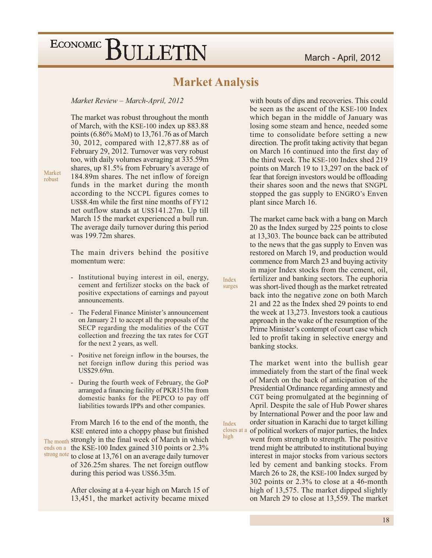#### **Market Analysis**

Index

surges

Index closes at

high

Market Review - March-April, 2012

The market was robust throughout the month of March, with the KSE-100 index up 883.88 points  $(6.86\% \text{ MoM})$  to 13,761.76 as of March 30, 2012, compared with 12,877.88 as of February 29, 2012. Turnover was very robust too, with daily volumes averaging at 335.59m shares, up 81.5% from February's average of 184.89m shares. The net inflow of foreign funds in the market during the month according to the NCCPL figures comes to US\$8.4m while the first nine months of FY12 net outflow stands at US\$141.27m. Up till March 15 the market experienced a bull run. The average daily turnover during this period was 199.72m shares.

The main drivers behind the positive momentum were:

- Institutional buying interest in oil, energy, cement and fertilizer stocks on the back of positive expectations of earnings and payout announcements.
- The Federal Finance Minister's announcement on January 21 to accept all the proposals of the SECP regarding the modalities of the CGT collection and freezing the tax rates for CGT for the next 2 years, as well.
- Positive net foreign inflow in the bourses, the  $\Box$ net foreign inflow during this period was US\$29.69m.
- During the fourth week of February, the GoP  $\blacksquare$ arranged a financing facility of PKR151bn from domestic banks for the PEPCO to pay off liabilities towards IPPs and other companies.

From March 16 to the end of the month, the KSE entered into a choppy phase but finished The month strongly in the final week of March in which ends on a the KSE-100 Index gained 310 points or 2.3% strong note to close at 13,761 on an average daily turnover of 326.25m shares. The net foreign outflow during this period was US\$6.35m.

> After closing at a 4-year high on March 15 of 13,451, the market activity became mixed

with bouts of dips and recoveries. This could be seen as the ascent of the KSE-100 Index which began in the middle of January was losing some steam and hence, needed some time to consolidate before setting a new direction. The profit taking activity that began on March 16 continued into the first day of the third week. The KSE-100 Index shed 219 points on March 19 to 13,297 on the back of fear that foreign investors would be offloading their shares soon and the news that SNGPL stopped the gas supply to ENGRO's Enven plant since March 16.

The market came back with a bang on March 20 as the Index surged by 225 points to close at 13,303. The bounce back can be attributed to the news that the gas supply to Enven was restored on March 19, and production would commence from March 23 and buying activity in major Index stocks from the cement, oil, fertilizer and banking sectors. The euphoria was short-lived though as the market retreated back into the negative zone on both March 21 and 22 as the Index shed 29 points to end the week at 13,273. Investors took a cautious approach in the wake of the resumption of the Prime Minister's contempt of court case which led to profit taking in selective energy and banking stocks.

The market went into the bullish gear immediately from the start of the final week of March on the back of anticipation of the Presidential Ordinance regarding amnesty and CGT being promulgated at the beginning of April. Despite the sale of Hub Power shares by International Power and the poor law and order situation in Karachi due to target killing a of political workers of major parties, the Index went from strength to strength. The positive trend might be attributed to institutional buying interest in major stocks from various sectors led by cement and banking stocks. From March 26 to 28, the KSE-100 Index surged by 302 points or 2.3% to close at a 46-month high of 13,575. The market dipped slightly on March 29 to close at 13,559. The market

Market robust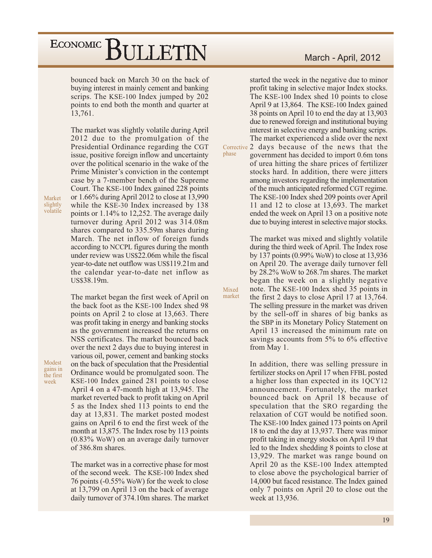bounced back on March 30 on the back of buying interest in mainly cement and banking scrips. The KSE-100 Index jumped by 202 points to end both the month and quarter at 13,761.

The market was slightly volatile during April 2012 due to the promulgation of the Presidential Ordinance regarding the CGT issue, positive foreign inflow and uncertainty over the political scenario in the wake of the Prime Minister's conviction in the contempt case by a 7-member bench of the Supreme Court. The KSE-100 Index gained 228 points or  $1.66\%$  during April 2012 to close at 13,990 while the KSE-30 Index increased by 138 points or  $1.14\%$  to 12,252. The average daily turnover during April 2012 was 314.08m shares compared to 335.59m shares during March. The net inflow of foreign funds according to NCCPL figures during the month under review was US\$22.06m while the fiscal year-to-date net outflow was US\$119.21m and the calendar year-to-date net inflow as US\$38.19m.

The market began the first week of April on the back foot as the KSE-100 Index shed 98 points on April 2 to close at 13,663. There was profit taking in energy and banking stocks as the government increased the returns on NSS certificates. The market bounced back over the next 2 days due to buying interest in various oil, power, cement and banking stocks on the back of speculation that the Presidential Ordinance would be promulgated soon. The KSE-100 Index gained 281 points to close April 4 on a 47-month high at 13,945. The market reverted back to profit taking on April 5 as the Index shed 113 points to end the day at 13,831. The market posted modest gains on April 6 to end the first week of the month at 13,875. The Index rose by 113 points  $(0.83\%$  WoW) on an average daily turnover of 386.8m shares.

The market was in a corrective phase for most of the second week. The KSE-100 Index shed 76 points (-0.55% WoW) for the week to close at 13,799 on April 13 on the back of average daily turnover of 374.10m shares. The market March - April, 2012

started the week in the negative due to minor profit taking in selective major Index stocks. The KSE-100 Index shed 10 points to close April 9 at 13,864. The KSE-100 Index gained 38 points on April 10 to end the day at 13,903 due to renewed foreign and institutional buying interest in selective energy and banking scrips. The market experienced a slide over the next Corrective 2 days because of the news that the government has decided to import 0.6m tons of urea hitting the share prices of fertilizer stocks hard. In addition, there were jitters among investors regarding the implementation of the much anticipated reformed CGT regime. The KSE-100 Index shed 209 points over April 11 and 12 to close at 13,693. The market

phase

Mixed market The market was mixed and slightly volatile during the third week of April. The Index rose by 137 points  $(0.99\%$  WoW) to close at 13,936 on April 20. The average daily turnover fell by 28.2% WoW to 268.7m shares. The market began the week on a slightly negative note. The KSE-100 Index shed 35 points in the first 2 days to close April 17 at 13,764. The selling pressure in the market was driven by the sell-off in shares of big banks as the SBP in its Monetary Policy Statement on April 13 increased the minimum rate on savings accounts from  $5\%$  to  $6\%$  effective from May 1.

ended the week on April 13 on a positive note

due to buying interest in selective major stocks.

In addition, there was selling pressure in fertilizer stocks on April 17 when FFBL posted a higher loss than expected in its 1QCY12 announcement. Fortunately, the market bounced back on April 18 because of speculation that the SRO regarding the relaxation of CGT would be notified soon. The KSE-100 Index gained 173 points on April 18 to end the day at 13,937. There was minor profit taking in energy stocks on April 19 that led to the Index shedding 8 points to close at 13,929. The market was range bound on April 20 as the KSE-100 Index attempted to close above the psychological barrier of 14,000 but faced resistance. The Index gained only 7 points on April 20 to close out the week at 13,936.

Market slightly volatile

gains in the first week

Modest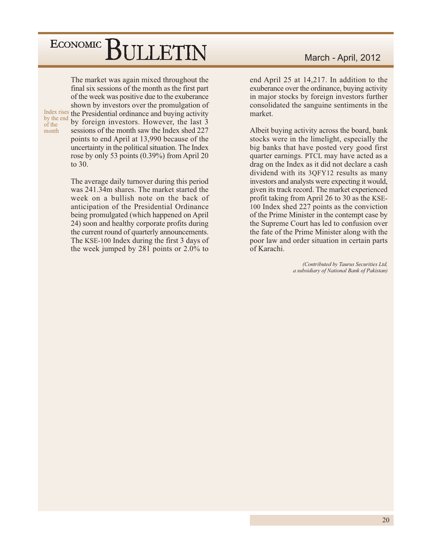The market was again mixed throughout the final six sessions of the month as the first part of the week was positive due to the exuberance shown by investors over the promulgation of Index rises the Presidential ordinance and buying activity by the end by foreign investors. However, the last 3 sessions of the month saw the Index shed 227 points to end April at 13,990 because of the uncertainty in the political situation. The Index rose by only 53 points  $(0.39\%)$  from April 20 to  $30<sub>1</sub>$ 

of the

month

The average daily turnover during this period was 241.34m shares. The market started the week on a bullish note on the back of anticipation of the Presidential Ordinance being promulgated (which happened on April 24) soon and healthy corporate profits during the current round of quarterly announcements. The KSE-100 Index during the first 3 days of the week jumped by 281 points or  $2.0\%$  to

#### March - April, 2012

end April 25 at 14,217. In addition to the exuberance over the ordinance, buying activity in major stocks by foreign investors further consolidated the sanguine sentiments in the market.

Albeit buying activity across the board, bank stocks were in the limelight, especially the big banks that have posted very good first quarter earnings. PTCL may have acted as a drag on the Index as it did not declare a cash dividend with its 3QFY12 results as many investors and analysts were expecting it would, given its track record. The market experienced profit taking from April 26 to 30 as the KSE-100 Index shed 227 points as the conviction of the Prime Minister in the contempt case by the Supreme Court has led to confusion over the fate of the Prime Minister along with the poor law and order situation in certain parts of Karachi.

> (Contributed by Taurus Securities Ltd, a subsidiary of National Bank of Pakistan)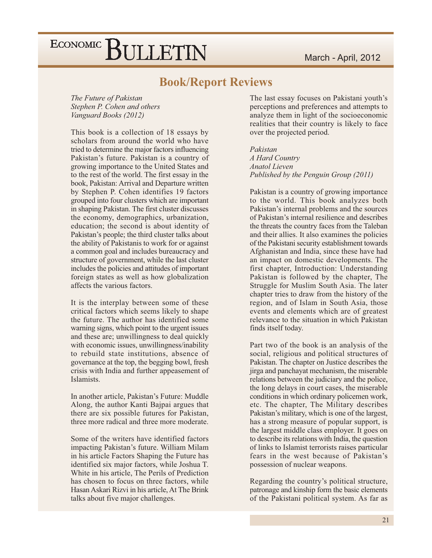#### **Book/Report Reviews**

The Future of Pakistan Stephen P. Cohen and others Vanguard Books (2012)

This book is a collection of 18 essays by scholars from around the world who have tried to determine the major factors influencing Pakistan's future. Pakistan is a country of growing importance to the United States and to the rest of the world. The first essay in the book, Pakistan: Arrival and Departure written by Stephen P. Cohen identifies 19 factors grouped into four clusters which are important in shaping Pakistan. The first cluster discusses the economy, demographics, urbanization, education; the second is about identity of Pakistan's people; the third cluster talks about the ability of Pakistanis to work for or against a common goal and includes bureaucracy and structure of government, while the last cluster includes the policies and attitudes of important foreign states as well as how globalization affects the various factors.

It is the interplay between some of these critical factors which seems likely to shape the future. The author has identified some warning signs, which point to the urgent issues and these are; unwillingness to deal quickly with economic issues, unwillingness/inability to rebuild state institutions, absence of governance at the top, the begging bowl, fresh crisis with India and further appeasement of Islamists.

In another article, Pakistan's Future: Muddle Along, the author Kanti Bajpai argues that there are six possible futures for Pakistan, three more radical and three more moderate.

Some of the writers have identified factors impacting Pakistan's future. William Milam in his article Factors Shaping the Future has identified six major factors, while Joshua T. White in his article, The Perils of Prediction has chosen to focus on three factors, while Hasan Askari Rizvi in his article, At The Brink talks about five major challenges.

The last essay focuses on Pakistani youth's perceptions and preferences and attempts to analyze them in light of the socioeconomic realities that their country is likely to face over the projected period.

Pakistan

A Hard Country Anatol Lieven Published by the Penguin Group (2011)

Pakistan is a country of growing importance to the world. This book analyzes both Pakistan's internal problems and the sources of Pakistan's internal resilience and describes the threats the country faces from the Taleban and their allies. It also examines the policies of the Pakistani security establishment towards Afghanistan and India, since these have had an impact on domestic developments. The first chapter, Introduction: Understanding Pakistan is followed by the chapter, The Struggle for Muslim South Asia. The later chapter tries to draw from the history of the region, and of Islam in South Asia, those events and elements which are of greatest relevance to the situation in which Pakistan finds itself today.

Part two of the book is an analysis of the social, religious and political structures of Pakistan. The chapter on Justice describes the jirga and panchayat mechanism, the miserable relations between the judiciary and the police, the long delays in court cases, the miserable conditions in which ordinary policemen work, etc. The chapter, The Military describes Pakistan's military, which is one of the largest, has a strong measure of popular support, is the largest middle class employer. It goes on to describe its relations with India, the question of links to Islamist terrorists raises particular fears in the west because of Pakistan's possession of nuclear weapons.

Regarding the country's political structure, patronage and kinship form the basic elements of the Pakistani political system. As far as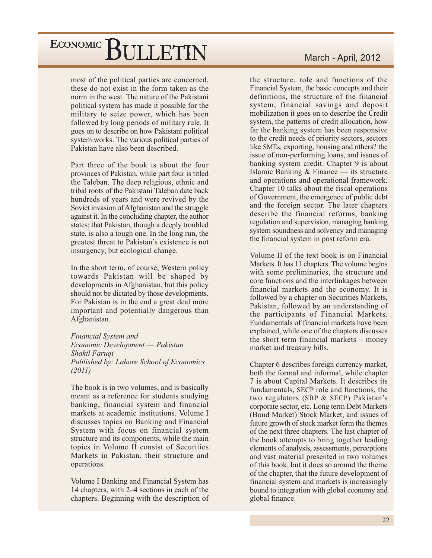most of the political parties are concerned, these do not exist in the form taken as the norm in the west. The nature of the Pakistani political system has made it possible for the military to seize power, which has been followed by long periods of military rule. It goes on to describe on how Pakistani political system works. The various political parties of Pakistan have also been described.

Part three of the book is about the four provinces of Pakistan, while part four is titled the Taleban. The deep religious, ethnic and tribal roots of the Pakistani Taleban date back hundreds of years and were revived by the Soviet invasion of Afghanistan and the struggle against it. In the concluding chapter, the author states; that Pakistan, though a deeply troubled state, is also a tough one. In the long run, the greatest threat to Pakistan's existence is not insurgency, but ecological change.

In the short term, of course, Western policy towards Pakistan will be shaped by developments in Afghanistan, but this policy should not be dictated by those developments. For Pakistan is in the end a great deal more important and potentially dangerous than Afghanistan.

Financial System and Economic Development - Pakistan Shakil Faruqi Published by: Lahore School of Economics  $(2011)$ 

The book is in two volumes, and is basically meant as a reference for students studying banking, financial system and financial markets at academic institutions. Volume I discusses topics on Banking and Financial System with focus on financial system structure and its components, while the main topics in Volume II consist of Securities Markets in Pakistan, their structure and operations.

Volume I Banking and Financial System has 14 chapters, with 2–4 sections in each of the chapters. Beginning with the description of

#### March - April, 2012

the structure, role and functions of the Financial System, the basic concepts and their definitions, the structure of the financial system, financial savings and deposit mobilization it goes on to describe the Credit system, the patterns of credit allocation, how far the banking system has been responsive to the credit needs of priority sectors, sectors like SMEs, exporting, housing and others? the issue of non-performing loans, and issues of banking system credit. Chapter 9 is about Islamic Banking  $&$  Finance — its structure and operations and operational framework. Chapter 10 talks about the fiscal operations of Government, the emergence of public debt and the foreign sector. The later chapters describe the financial reforms, banking regulation and supervision, managing banking system soundness and solvency and managing the financial system in post reform era.

Volume II of the text book is on Financial Markets. It has 11 chapters. The volume begins with some preliminaries, the structure and core functions and the interlinkages between financial markets and the economy. It is followed by a chapter on Securities Markets, Pakistan, followed by an understanding of the participants of Financial Markets. Fundamentals of financial markets have been explained, while one of the chapters discusses the short term financial markets – money market and treasury bills.

Chapter 6 describes foreign currency market, both the formal and informal, while chapter 7 is about Capital Markets. It describes its fundamentals, SECP role and functions, the two regulators (SBP & SECP) Pakistan's corporate sector, etc. Long term Debt Markets (Bond Market) Stock Market, and issues of future growth of stock market form the themes of the next three chapters. The last chapter of the book attempts to bring together leading elements of analysis, assessments, perceptions and vast material presented in two volumes of this book, but it does so around the theme of the chapter, that the future development of financial system and markets is increasingly bound to integration with global economy and global finance.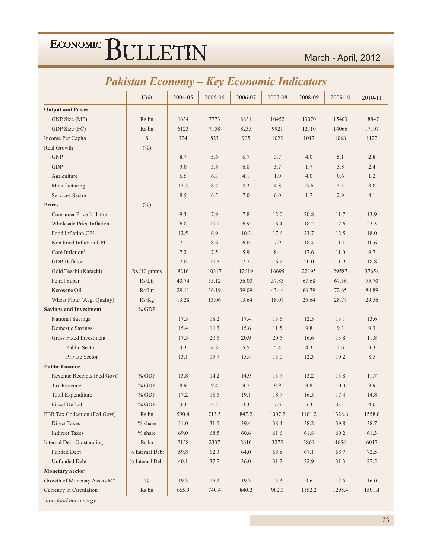#### *Pakistan Economy – Key Economic Indicators*

|                                  | Unit            | 2004-05 | 2005-06 | 2006-07 | 2007-08 | 2008-09 | 2009-10 | 2010-11 |
|----------------------------------|-----------------|---------|---------|---------|---------|---------|---------|---------|
| <b>Output and Prices</b>         |                 |         |         |         |         |         |         |         |
| GNP Size (MP)                    | Rs.bn           | 6634    | 7773    | 8831    | 10452   | 13070   | 15403   | 18847   |
| GDP Size (FC)                    | Rs.bn           | 6123    | 7158    | 8235    | 9921    | 12110   | 14066   | 17107   |
| Income Per Capita                | \$              | 724     | 823     | 905     | 1022    | 1017    | 1068    | 1122    |
| Real Growth                      | $(^{0}_{0})$    |         |         |         |         |         |         |         |
| <b>GNP</b>                       |                 | 8.7     | 5.6     | 6.7     | 3.7     | 4.0     | 5.1     | 2.8     |
| <b>GDP</b>                       |                 | 9.0     | 5.8     | 6.8     | 3.7     | 1.7     | 3.8     | 2.4     |
| Agriculture                      |                 | 6.5     | 6.3     | 4.1     | 1.0     | 4.0     | 0.6     | 1.2     |
| Manufacturing                    |                 | 15.5    | 8.7     | 8.3     | 4.8     | $-3.6$  | 5.5     | 3.0     |
| Services Sector                  |                 | 8.5     | 6.5     | 7.0     | 6.0     | 1.7     | 2.9     | 4.1     |
| <b>Prices</b>                    | $(\%)$          |         |         |         |         |         |         |         |
| <b>Consumer Price Inflation</b>  |                 | 9.3     | 7.9     | 7.8     | 12.0    | 20.8    | 11.7    | 13.9    |
| <b>Wholesale Price Inflation</b> |                 | 6.8     | 10.1    | 6.9     | 16.4    | 18.2    | 12.6    | 23.3    |
| Food Inflation CPI               |                 | 12.5    | 6.9     | 10.3    | 17.6    | 23.7    | 12.5    | 18.0    |
| Non Food Inflation CPI           |                 | 7.1     | 8.6     | 6.0     | 7.9     | 18.4    | 11.1    | 10.6    |
| Core Inflation <sup>†</sup>      |                 | 7.2     | 7.5     | 5.9     | 8.4     | 17.6    | 11.0    | 9.7     |
| <b>GDP</b> Deflator              |                 | 7.0     | 10.5    | 7.7     | 16.2    | 20.0    | 11.9    | 18.8    |
| Gold Tezabi (Karachi)            | Rs./10 grams    | 8216    | 10317   | 12619   | 16695   | 22195   | 29587   | 37658   |
| Petrol Super                     | Rs/Ltr          | 40.74   | 55.12   | 56.00   | 57.83   | 67.68   | 67.56   | 75.70   |
| Kerosene Oil                     | Rs/Ltr          | 29.11   | 36.19   | 39.09   | 43.44   | 66.79   | 72.65   | 84.89   |
| Wheat Flour (Avg. Quality)       | Rs/Kg           | 13.28   | 13.06   | 13.64   | 18.07   | 25.64   | 28.77   | 29.56   |
| <b>Savings and Investment</b>    | $%$ GDP         |         |         |         |         |         |         |         |
| National Savings                 |                 | 17.5    | 18.2    | 17.4    | 13.6    | 12.5    | 13.1    | 13.6    |
| Domestic Savings                 |                 | 15.4    | 16.3    | 15.6    | 11.5    | 9.8     | 9.3     | 9.3     |
| Gross Fixed Investment           |                 | 17.5    | 20.5    | 20.9    | 20.5    | 16.6    | 13.8    | 11.8    |
| Public Sector                    |                 | 4.3     | 4.8     | 5.5     | 5.4     | 4.3     | 3.6     | 3.3     |
| Private Sector                   |                 | 13.1    | 15.7    | 15.4    | 15.0    | 12.3    | 10.2    | 8.5     |
| <b>Public Finance</b>            |                 |         |         |         |         |         |         |         |
| Revenue Receipts (Fed Govt)      | $%$ GDP         | 13.8    | 14.2    | 14.9    | 13.7    | 13.2    | 13.8    | 11.7    |
| Tax Revenue                      | $%$ GDP         | 8.9     | 9.4     | 9.7     | 9.9     | 9.8     | 10.0    | 8.9     |
| <b>Total Expenditure</b>         | $%$ GDP         | 17.2    | 18.5    | 19.1    | 18.7    | 16.5    | 17.4    | 14.8    |
| <b>Fiscal Deficit</b>            | $%$ GDP         | 3.3     | 4.3     | 4.3     | 7.6     | 5.3     | 6.3     | 4.0     |
| FBR Tax Collection (Fed Govt)    | Rs.bn           | 590.4   | 713.5   | 847.2   | 1007.2  | 1161.2  | 1328.6  | 1558.0  |
| Direct Taxes                     | $%$ share       | 31.0    | 31.5    | 39.4    | 38.4    | 38.2    | 39.8    | 38.7    |
| <b>Indirect Taxes</b>            | $%$ share       | 69.0    | 68.5    | 60.6    | 61.6    | 61.8    | 60.2    | 61.3    |
| <b>Internal Debt Outstanding</b> | Rs.bn           | 2158    | 2337    | 2610    | 3275    | 3861    | 4654    | 6017    |
| Funded Debt                      | % Internal Debt | 59.8    | 62.3    | 64.0    | 68.8    | 67.1    | 68.7    | 72.5    |
| <b>Unfunded Debt</b>             | % Internal Debt | 40.1    | 37.7    | 36.0    | 31.2    | 32.9    | 31.3    | 27.5    |
| <b>Monetary Sector</b>           |                 |         |         |         |         |         |         |         |
| Growth of Monetary Assets M2     | $\frac{0}{0}$   | 19.3    | 15.2    | 19.3    | 15.3    | 9.6     | 12.5    | 16.0    |
| Currency in Circulation          | Rs.bn           | 665.9   | 740.4   | 840.2   | 982.3   | 1152.2  | 1295.4  | 1501.4  |

<sup>†</sup>non-food non-energy